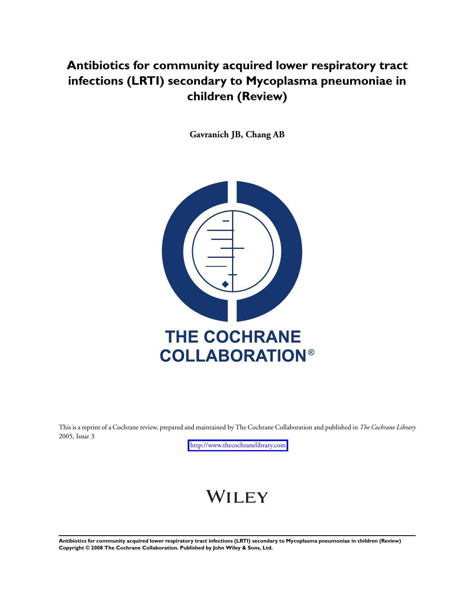## **Antibiotics for community acquired lower respiratory tract infections (LRTI) secondary to Mycoplasma pneumoniae in children (Review)**

**Gavranich JB, Chang AB**



This is a reprint of a Cochrane review, prepared and maintained by The Cochrane Collaboration and published in *The Cochrane Library* 2005, Issue 3

<http://www.thecochranelibrary.com>

# WILEY

**Antibiotics for community acquired lower respiratory tract infections (LRTI) secondary to Mycoplasma pneumoniae in children (Review) Copyright © 2008 The Cochrane Collaboration. Published by John Wiley & Sons, Ltd.**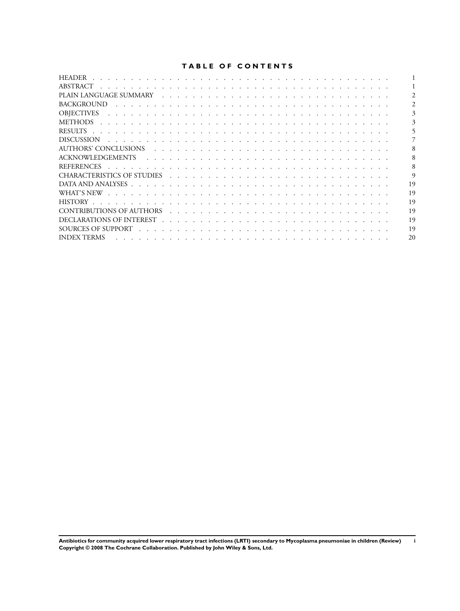## **TABLE OF CONTENTS**

| <b>HEADER</b>                                                                                                                                                                                                                                      |    |
|----------------------------------------------------------------------------------------------------------------------------------------------------------------------------------------------------------------------------------------------------|----|
| ABSTRACT                                                                                                                                                                                                                                           |    |
|                                                                                                                                                                                                                                                    |    |
| <b>BACKGROUND</b>                                                                                                                                                                                                                                  |    |
| <b>OBIECTIVES</b><br>and a construction of the construction of the construction of the construction of the construction of the construction of the construction of the construction of the construction of the construction of the construction of |    |
| METHODS<br>a constitution of the constitution of the constitution of the constitution of the constitution of the constitution                                                                                                                      |    |
|                                                                                                                                                                                                                                                    |    |
| <b>DISCUSSION</b><br>the contract of the contract of the contract of the contract of the contract of the contract of the contract of                                                                                                               |    |
| AUTHORS' CONCLUSIONS                                                                                                                                                                                                                               |    |
| ACKNOWLEDGEMENTS                                                                                                                                                                                                                                   |    |
| <b>REFERENCES</b><br>a construction of the construction of the construction of the construction of the construction of the construction                                                                                                            |    |
|                                                                                                                                                                                                                                                    | 9  |
|                                                                                                                                                                                                                                                    | 19 |
|                                                                                                                                                                                                                                                    | 19 |
| HISTORY.                                                                                                                                                                                                                                           | 19 |
| <b>CONTRIBUTIONS OF AUTHORS</b>                                                                                                                                                                                                                    | 19 |
|                                                                                                                                                                                                                                                    | 19 |
|                                                                                                                                                                                                                                                    | 19 |
| <b>INDEX TERMS</b>                                                                                                                                                                                                                                 | 20 |

**Antibiotics for community acquired lower respiratory tract infections (LRTI) secondary to Mycoplasma pneumoniae in children (Review) i Copyright © 2008 The Cochrane Collaboration. Published by John Wiley & Sons, Ltd.**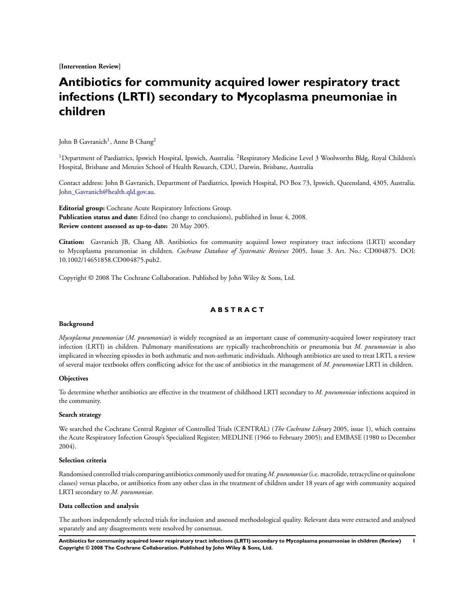**[Intervention Review]**

## **Antibiotics for community acquired lower respiratory tract infections (LRTI) secondary to Mycoplasma pneumoniae in children**

John B Gavranich<sup>1</sup>, Anne B Chang<sup>2</sup>

<sup>1</sup>Department of Paediatrics, Ipswich Hospital, Ipswich, Australia. <sup>2</sup>Respiratory Medicine Level 3 Woolworths Bldg, Royal Children's Hospital, Brisbane and Menzies School of Health Research, CDU, Darwin, Brisbane, Australia

Contact address: John B Gavranich, Department of Paediatrics, Ipswich Hospital, PO Box 73, Ipswich, Queensland, 4305, Australia. [John\\_Gavranich@health.qld.gov.au](mailto:Johnchar "A8penalty z@ Gavranich@health.qld.gov.au).

**Editorial group:** Cochrane Acute Respiratory Infections Group. **Publication status and date:** Edited (no change to conclusions), published in Issue 4, 2008. **Review content assessed as up-to-date:** 20 May 2005.

**Citation:** Gavranich JB, Chang AB. Antibiotics for community acquired lower respiratory tract infections (LRTI) secondary to Mycoplasma pneumoniae in children. *Cochrane Database of Systematic Reviews* 2005, Issue 3. Art. No.: CD004875. DOI: 10.1002/14651858.CD004875.pub2.

Copyright © 2008 The Cochrane Collaboration. Published by John Wiley & Sons, Ltd.

## **A B S T R A C T**

#### **Background**

*Mycoplasma pneumoniae* (*M. pneumoniae*) is widely recognised as an important cause of community-acquired lower respiratory tract infection (LRTI) in children. Pulmonary manifestations are typically tracheobronchitis or pneumonia but *M. pneumoniae* is also implicated in wheezing episodes in both asthmatic and non-asthmatic individuals. Although antibiotics are used to treat LRTI, a review of several major textbooks offers conflicting advice for the use of antibiotics in the management of *M. pneumoniae* LRTI in children.

#### **Objectives**

To determine whether antibiotics are effective in the treatment of childhood LRTI secondary to *M. pneumoniae* infections acquired in the community.

#### **Search strategy**

We searched the Cochrane Central Register of Controlled Trials (CENTRAL) (*The Cochrane Library* 2005, issue 1), which contains the Acute Respiratory Infection Group's Specialized Register; MEDLINE (1966 to February 2005); and EMBASE (1980 to December 2004).

#### **Selection criteria**

Randomised controlled trials comparing antibiotics commonly used for treating *M. pneumoniae* (i.e. macrolide, tetracycline or quinolone classes) versus placebo, or antibiotics from any other class in the treatment of children under 18 years of age with community acquired LRTI secondary to *M. pneumoniae*.

#### **Data collection and analysis**

The authors independently selected trials for inclusion and assessed methodological quality. Relevant data were extracted and analysed separately and any disagreements were resolved by consensus.

**Antibiotics for community acquired lower respiratory tract infections (LRTI) secondary to Mycoplasma pneumoniae in children (Review) 1 Copyright © 2008 The Cochrane Collaboration. Published by John Wiley & Sons, Ltd.**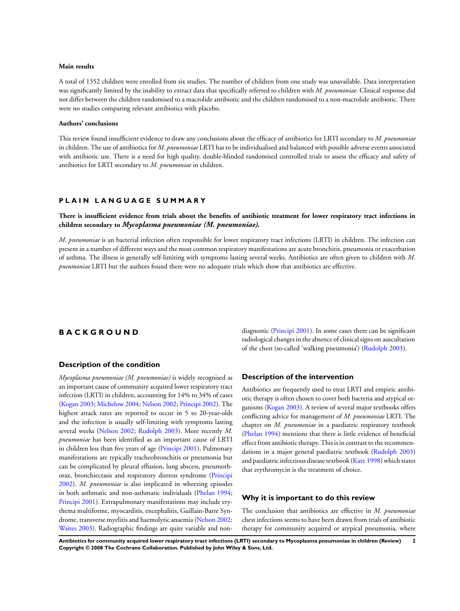#### **Main results**

A total of 1352 children were enrolled from six studies. The number of children from one study was unavailable. Data interpretation was significantly limited by the inability to extract data that specifically referred to children with *M. pneumoniae*. Clinical response did not differ between the children randomised to a macrolide antibiotic and the children randomised to a non-macrolide antibiotic. There were no studies comparing relevant antibiotics with placebo.

#### **Authors' conclusions**

This review found insufficient evidence to draw any conclusions about the efficacy of antibiotics for LRTI secondary to *M. pneumoniae* in children. The use of antibiotics for *M. pneumoniae* LRTI has to be individualised and balanced with possible adverse events associated with antibiotic use. There is a need for high quality, double-blinded randomised controlled trials to assess the efficacy and safety of antibiotics for LRTI secondary to *M. pneumoniae* in children.

#### **P L A I N L A N G U A G E S U M M A R Y**

## **There is insufficient evidence from trials about the benefits of antibiotic treatment for lower respiratory tract infections in children secondary to** *Mycoplasma pneumoniae (M. pneumoniae).*

*M. pneumoniae* is an bacterial infection often responsible for lower respiratory tract infections (LRTI) in children. The infection can present in a number of different ways and the most common respiratory manifestations are acute bronchitis, pneumonia or exacerbation of asthma. The illness is generally self-limiting with symptoms lasting several weeks. Antibiotics are often given to children with *M. pneumoniae* LRTI but the authors found there were no adequate trials which show that antibiotics are effective.

## **B A C K G R O U N D**

#### **Description of the condition**

*Mycoplasma pneumoniae (M. pneumoniae)* is widely recognised as an important cause of community acquired lower respiratory tract infection (LRTI) in children, accounting for 14% to 34% of cases [\(Kogan 2003;](#page-9-0) [Michelow 2004](#page-9-0); [Nelson 2002;](#page-9-0) [Principi 2002](#page-9-0)). The highest attack rates are reported to occur in 5 to 20-year-olds and the infection is usually self-limiting with symptoms lasting several weeks [\(Nelson 2002;](#page-9-0) [Rudolph 2003\)](#page-9-0). More recently *M. pneumoniae* has been identified as an important cause of LRTI in children less than five years of age ([Principi 2001](#page-9-0)). Pulmonary manifestations are typically tracheobronchitis or pneumonia but can be complicated by pleural effusion, lung abscess, pneumothorax, bronchiectasis and respiratory distress syndrome ([Principi](#page-9-0) [2002](#page-9-0)). *M. pneumoniae* is also implicated in wheezing episodes in both asthmatic and non-asthmatic individuals [\(Phelan 1994;](#page-9-0) [Principi 2001\)](#page-9-0). Extrapulmonary manifestations may include erythema multiforme, myocarditis, encephalitis, Guillain-Barre Syndrome, transverse myelitis and haemolytic anaemia ([Nelson 2002;](#page-9-0) [Waites 2003\)](#page-9-0). Radiographic findings are quite variable and nondiagnostic ([Principi 2001](#page-9-0)). In some cases there can be significant radiological changes in the absence of clinical signs on auscultation of the chest (so-called 'walking pneumonia') [\(Rudolph 2003](#page-9-0)).

#### **Description of the intervention**

Antibiotics are frequently used to treat LRTI and empiric antibiotic therapy is often chosen to cover both bacteria and atypical organisms ([Kogan 2003](#page-9-0)). A review of several major textbooks offers conflicting advice for management of *M. pneumoniae* LRTI. The chapter on *M. pneumoniae* in a paediatric respiratory textbook [\(Phelan 1994](#page-9-0)) mentions that there is little evidence of beneficial effect from antibiotic therapy. This is in contrast to the recommendations in a major general paediatric textbook [\(Rudolph 2003](#page-9-0)) and paediatric infectious disease textbook ([Katz 1998\)](#page-9-0) which states that erythromycin is the treatment of choice.

#### **Why it is important to do this review**

The conclusion that antibiotics are effective in *M. pneumoniae* chest infections seems to have been drawn from trials of antibiotic therapy for community acquired or atypical pneumonia, where

**Antibiotics for community acquired lower respiratory tract infections (LRTI) secondary to Mycoplasma pneumoniae in children (Review) 2 Copyright © 2008 The Cochrane Collaboration. Published by John Wiley & Sons, Ltd.**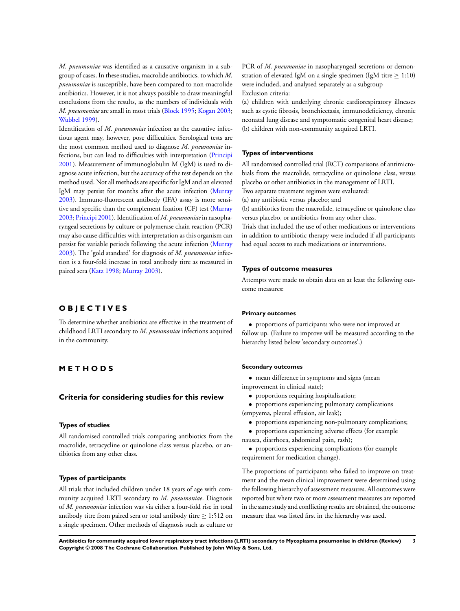*M. pneumoniae* was identified as a causative organism in a subgroup of cases. In these studies, macrolide antibiotics, to which *M. pneumoniae* is susceptible, have been compared to non-macrolide antibiotics. However, it is not always possible to draw meaningful conclusions from the results, as the numbers of individuals with *M. pneumoniae* are small in most trials [\(Block 1995](#page-9-0); [Kogan 2003;](#page-9-0) [Wubbel 1999\)](#page-9-0).

Identification of *M. pneumoniae* infection as the causative infectious agent may, however, pose difficulties. Serological tests are the most common method used to diagnose *M. pneumoniae* infections, but can lead to difficulties with interpretation ([Principi](#page-9-0) [2001](#page-9-0)). Measurement of immunoglobulin M (IgM) is used to diagnose acute infection, but the accuracy of the test depends on the method used. Not all methods are specific for IgM and an elevated IgM may persist for months after the acute infection [\(Murray](#page-9-0) [2003](#page-9-0)). Immuno-fluorescent antibody (IFA) assay is more sensitive and specific than the complement fixation (CF) test [\(Murray](#page-9-0) [2003](#page-9-0); [Principi 2001\)](#page-9-0). Identification of *M. pneumoniae*in nasopharyngeal secretions by culture or polymerase chain reaction (PCR) may also cause difficulties with interpretation as this organism can persist for variable periods following the acute infection [\(Murray](#page-9-0) [2003](#page-9-0)). The 'gold standard' for diagnosis of *M. pneumoniae* infection is a four-fold increase in total antibody titre as measured in paired sera [\(Katz 1998](#page-9-0); [Murray 2003](#page-9-0)).

## **O B J E C T I V E S**

To determine whether antibiotics are effective in the treatment of childhood LRTI secondary to *M. pneumoniae* infections acquired in the community.

## **M E T H O D S**

#### **Criteria for considering studies for this review**

#### **Types of studies**

All randomised controlled trials comparing antibiotics from the macrolide, tetracycline or quinolone class versus placebo, or antibiotics from any other class.

#### **Types of participants**

All trials that included children under 18 years of age with community acquired LRTI secondary to *M. pneumoniae*. Diagnosis of *M. pneumoniae* infection was via either a four-fold rise in total antibody titre from paired sera or total antibody titre  $\geq 1:512$  on a single specimen. Other methods of diagnosis such as culture or

PCR of *M. pneumoniae* in nasopharyngeal secretions or demonstration of elevated IgM on a single specimen (IgM titre  $\geq 1:10$ ) were included, and analysed separately as a subgroup Exclusion criteria:

(a) children with underlying chronic cardiorespiratory illnesses such as cystic fibrosis, bronchiectasis, immunodeficiency, chronic neonatal lung disease and symptomatic congenital heart disease; (b) children with non-community acquired LRTI.

#### **Types of interventions**

All randomised controlled trial (RCT) comparisons of antimicrobials from the macrolide, tetracycline or quinolone class, versus placebo or other antibiotics in the management of LRTI.

Two separate treatment regimes were evaluated:

(a) any antibiotic versus placebo; and

(b) antibiotics from the macrolide, tetracycline or quinolone class versus placebo, or antibiotics from any other class.

Trials that included the use of other medications or interventions in addition to antibiotic therapy were included if all participants had equal access to such medications or interventions.

#### **Types of outcome measures**

Attempts were made to obtain data on at least the following outcome measures:

#### **Primary outcomes**

• proportions of participants who were not improved at follow up. (Failure to improve will be measured according to the hierarchy listed below 'secondary outcomes'.)

#### **Secondary outcomes**

• mean difference in symptoms and signs (mean improvement in clinical state);

• proportions requiring hospitalisation;

• proportions experiencing pulmonary complications (empyema, pleural effusion, air leak);

• proportions experiencing non-pulmonary complications;

• proportions experiencing adverse effects (for example nausea, diarrhoea, abdominal pain, rash);

• proportions experiencing complications (for example requirement for medication change).

The proportions of participants who failed to improve on treatment and the mean clinical improvement were determined using the following hierarchy of assessment measures. All outcomes were reported but where two or more assessment measures are reported in the same study and conflicting results are obtained, the outcome measure that was listed first in the hierarchy was used.

**Antibiotics for community acquired lower respiratory tract infections (LRTI) secondary to Mycoplasma pneumoniae in children (Review) 3 Copyright © 2008 The Cochrane Collaboration. Published by John Wiley & Sons, Ltd.**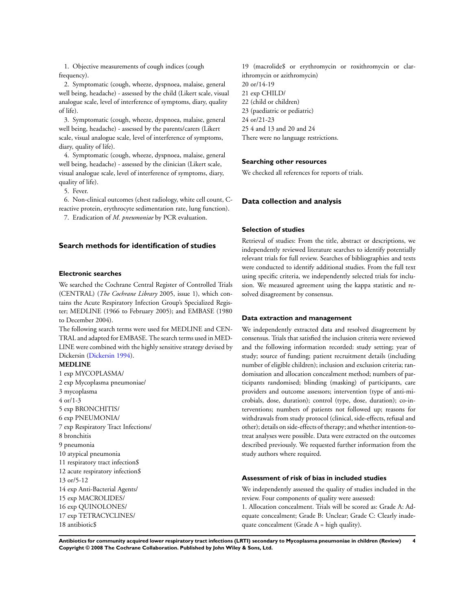1. Objective measurements of cough indices (cough frequency).

2. Symptomatic (cough, wheeze, dyspnoea, malaise, general well being, headache) - assessed by the child (Likert scale, visual analogue scale, level of interference of symptoms, diary, quality of life).

3. Symptomatic (cough, wheeze, dyspnoea, malaise, general well being, headache) - assessed by the parents/carers (Likert scale, visual analogue scale, level of interference of symptoms, diary, quality of life).

4. Symptomatic (cough, wheeze, dyspnoea, malaise, general well being, headache) - assessed by the clinician (Likert scale, visual analogue scale, level of interference of symptoms, diary, quality of life).

5. Fever.

6. Non-clinical outcomes (chest radiology, white cell count, Creactive protein, erythrocyte sedimentation rate, lung function).

7. Eradication of *M. pneumoniae* by PCR evaluation.

#### **Search methods for identification of studies**

#### **Electronic searches**

We searched the Cochrane Central Register of Controlled Trials (CENTRAL) (*The Cochrane Library* 2005, issue 1), which contains the Acute Respiratory Infection Group's Specialized Register; MEDLINE (1966 to February 2005); and EMBASE (1980 to December 2004).

The following search terms were used for MEDLINE and CEN-TRAL and adapted for EMBASE. The search terms used in MED-LINE were combined with the highly sensitive strategy devised by Dickersin ([Dickersin 1994\)](#page-9-0).

#### **MEDLINE**

1 exp MYCOPLASMA/ 2 exp Mycoplasma pneumoniae/ 3 mycoplasma 4 or/1-3 5 exp BRONCHITIS/ 6 exp PNEUMONIA/ 7 exp Respiratory Tract Infections/ 8 bronchitis 9 pneumonia 10 atypical pneumonia 11 respiratory tract infection\$ 12 acute respiratory infection\$ 13 or/5-12 14 exp Anti-Bacterial Agents/ 15 exp MACROLIDES/ 16 exp QUINOLONES/ 17 exp TETRACYCLINES/ 18 antibiotic\$

19 (macrolide\$ or erythromycin or roxithromycin or clarithromycin or azithromycin) 20 or/14-19 21 exp CHILD/ 22 (child or children) 23 (paediatric or pediatric) 24 or/21-23 25 4 and 13 and 20 and 24 There were no language restrictions.

#### **Searching other resources**

We checked all references for reports of trials.

#### **Data collection and analysis**

#### **Selection of studies**

Retrieval of studies: From the title, abstract or descriptions, we independently reviewed literature searches to identify potentially relevant trials for full review. Searches of bibliographies and texts were conducted to identify additional studies. From the full text using specific criteria, we independently selected trials for inclusion. We measured agreement using the kappa statistic and resolved disagreement by consensus.

#### **Data extraction and management**

We independently extracted data and resolved disagreement by consensus. Trials that satisfied the inclusion criteria were reviewed and the following information recorded: study setting; year of study; source of funding; patient recruitment details (including number of eligible children); inclusion and exclusion criteria; randomisation and allocation concealment method; numbers of participants randomised; blinding (masking) of participants, care providers and outcome assessors; intervention (type of anti-microbials, dose, duration); control (type, dose, duration); co-interventions; numbers of patients not followed up; reasons for withdrawals from study protocol (clinical, side-effects, refusal and other); details on side-effects of therapy; and whether intention-totreat analyses were possible. Data were extracted on the outcomes described previously. We requested further information from the study authors where required.

#### **Assessment of risk of bias in included studies**

We independently assessed the quality of studies included in the review. Four components of quality were assessed:

1. Allocation concealment. Trials will be scored as: Grade A: Adequate concealment; Grade B: Unclear; Grade C: Clearly inadequate concealment (Grade A = high quality).

**Antibiotics for community acquired lower respiratory tract infections (LRTI) secondary to Mycoplasma pneumoniae in children (Review) 4 Copyright © 2008 The Cochrane Collaboration. Published by John Wiley & Sons, Ltd.**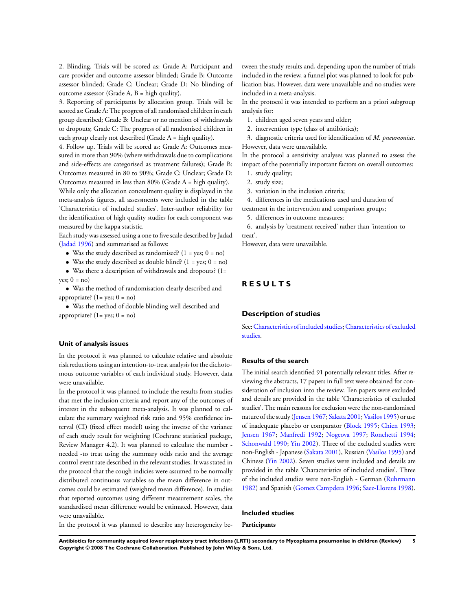2. Blinding. Trials will be scored as: Grade A: Participant and care provider and outcome assessor blinded; Grade B: Outcome assessor blinded; Grade C: Unclear; Grade D: No blinding of outcome assessor (Grade A, B = high quality).

3. Reporting of participants by allocation group. Trials will be scored as: Grade A: The progress of all randomised children in each group described; Grade B: Unclear or no mention of withdrawals or dropouts; Grade C: The progress of all randomised children in each group clearly not described (Grade  $A =$  high quality).

4. Follow up. Trials will be scored as: Grade A: Outcomes measured in more than 90% (where withdrawals due to complications and side-effects are categorised as treatment failures); Grade B: Outcomes measured in 80 to 90%; Grade C: Unclear; Grade D: Outcomes measured in less than 80% (Grade A = high quality).

While only the allocation concealment quality is displayed in the meta-analysis figures, all assessments were included in the table 'Characteristics of included studies'. Inter-author reliability for the identification of high quality studies for each component was measured by the kappa statistic.

Each study was assessed using a one to five scale described by Jadad [\(Jadad 1996\)](#page-9-0) and summarised as follows:

- Was the study described as randomised?  $(1 = yes; 0 = no)$
- Was the study described as double blind?  $(1 = yes; 0 = no)$

• Was there a description of withdrawals and dropouts? (1= yes;  $0 = no$ )

• Was the method of randomisation clearly described and appropriate?  $(1 = \text{ves}; 0 = \text{no})$ 

• Was the method of double blinding well described and appropriate?  $(1 = yes; 0 = no)$ 

#### **Unit of analysis issues**

In the protocol it was planned to calculate relative and absolute risk reductions using an intention-to-treat analysis for the dichotomous outcome variables of each individual study. However, data were unavailable.

In the protocol it was planned to include the results from studies that met the inclusion criteria and report any of the outcomes of interest in the subsequent meta-analysis. It was planned to calculate the summary weighted risk ratio and 95% confidence interval (CI) (fixed effect model) using the inverse of the variance of each study result for weighting (Cochrane statistical package, Review Manager 4.2). It was planned to calculate the number needed -to treat using the summary odds ratio and the average control event rate described in the relevant studies. It was stated in the protocol that the cough indicies were assumed to be normally distributed continuous variables so the mean difference in outcomes could be estimated (weighted mean difference). In studies that reported outcomes using different measurement scales, the standardised mean difference would be estimated. However, data were unavailable.

tween the study results and, depending upon the number of trials included in the review, a funnel plot was planned to look for publication bias. However, data were unavailable and no studies were included in a meta-analysis.

In the protocol it was intended to perform an a priori subgroup analysis for:

- 1. children aged seven years and older;
- 2. intervention type (class of antibiotics);

3. diagnostic criteria used for identification of *M. pneumoniae.* However, data were unavailable.

In the protocol a sensitivity analyses was planned to assess the impact of the potentially important factors on overall outcomes:

- 1. study quality;
- 2. study size;
- 3. variation in the inclusion criteria;

4. differences in the medications used and duration of

treatment in the intervention and comparison groups; 5. differences in outcome measures;

6. analysis by 'treatment received' rather than 'intention-to

treat'.

However, data were unavailable.

## **R E S U L T S**

#### **Description of studies**

See:[Characteristics of included studies;](#page-11-0)[Characteristics of excluded](#page-19-0) [studies.](#page-19-0)

#### **Results of the search**

The initial search identified 91 potentially relevant titles. After reviewing the abstracts, 17 papers in full text were obtained for consideration of inclusion into the review. Ten papers were excluded and details are provided in the table 'Characteristics of excluded studies'. The main reasons for exclusion were the non-randomised nature of the study [\(Jensen 1967](#page-9-0); [Sakata 2001](#page-9-0); [Vasilos 1995](#page-9-0)) or use of inadequate placebo or comparator [\(Block 1995;](#page-9-0) [Chien 1993;](#page-9-0) [Jensen 1967](#page-9-0); [Manfredi 1992;](#page-9-0) [Nogeova 1997](#page-9-0); [Ronchetti 1994;](#page-9-0) [Schonwald 1990;](#page-9-0) [Yin 2002](#page-9-0)). Three of the excluded studies were non-English - Japanese ([Sakata 2001\)](#page-9-0), Russian [\(Vasilos 1995\)](#page-9-0) and Chinese ([Yin 2002\)](#page-9-0). Seven studies were included and details are provided in the table 'Characteristics of included studies'. Three of the included studies were non-English - German [\(Ruhrmann](#page-9-0) [1982](#page-9-0)) and Spanish [\(Gomez Campdera 1996;](#page-9-0) [Saez-Llorens 1998](#page-9-0)).

In the protocol it was planned to describe any heterogeneity be-

**Included studies**

**Participants**

**Antibiotics for community acquired lower respiratory tract infections (LRTI) secondary to Mycoplasma pneumoniae in children (Review) 5 Copyright © 2008 The Cochrane Collaboration. Published by John Wiley & Sons, Ltd.**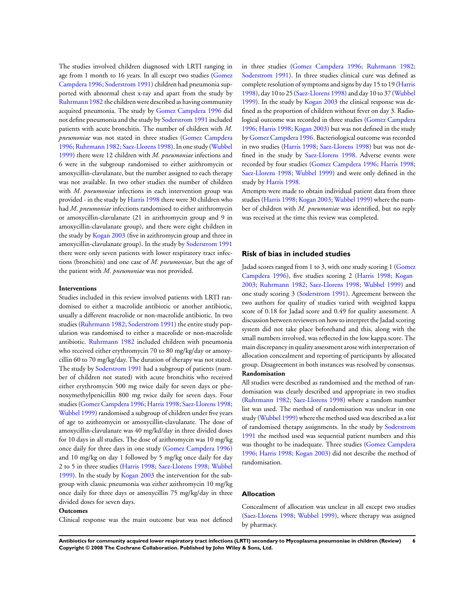The studies involved children diagnosed with LRTI ranging in age from 1 month to 16 years. In all except two studies [\(Gomez](#page-9-0) [Campdera 1996](#page-9-0); [Soderstrom 1991\)](#page-9-0) children had pneumonia supported with abnormal chest x-ray and apart from the study by [Ruhrmann 1982](#page-9-0) the children were described as having community acquired pneumonia. The study by [Gomez Campdera 1996](#page-9-0) did not define pneumonia and the study by [Soderstrom 1991](#page-9-0) included patients with acute bronchitis. The number of children with *M. pneumoniae* was not stated in three studies [\(Gomez Campdera](#page-9-0) [1996](#page-9-0);[Ruhrmann 1982](#page-9-0); [Saez-Llorens 1998\)](#page-9-0). In one study ([Wubbel](#page-9-0) [1999](#page-9-0)) there were 12 children with *M. pneumoniae* infections and 6 were in the subgroup randomised to either azithromycin or amoxycillin-clavulanate, but the number assigned to each therapy was not available. In two other studies the number of children with *M. pneumoniae* infections in each intervention group was provided - in the study by [Harris 1998](#page-9-0) there were 30 children who had *M. pneumoniae* infections randomised to either azithromycin or amoxycillin-clavulanate (21 in azithromycin group and 9 in amoxycillin-clavulanate group), and there were eight children in the study by [Kogan 2003](#page-9-0) (five in azithromycin group and three in amoxycillin-clavulanate group). In the study by [Soderstrom 1991](#page-9-0) there were only seven patients with lower respiratory tract infections (bronchitis) and one case of *M. pneumoniae*, but the age of the patient with *M. pneumoniae* was not provided.

#### **Interventions**

Studies included in this review involved patients with LRTI randomised to either a macrolide antibiotic or another antibiotic, usually a different macrolide or non-macrolide antibiotic. In two studies [\(Ruhrmann 1982](#page-9-0); [Soderstrom 1991\)](#page-9-0) the entire study population was randomised to either a macrolide or non-macrolide antibiotic. [Ruhrmann 1982](#page-9-0) included children with pneumonia who received either erythromycin 70 to 80 mg/kg/day or amoxycillin 60 to 70 mg/kg/day. The duration of therapy was not stated. The study by [Soderstrom 1991](#page-9-0) had a subgroup of patients (number of children not stated) with acute bronchitis who received either erythromycin 500 mg twice daily for seven days or phenoxymethylpenicillin 800 mg twice daily for seven days. Four studies [\(Gomez Campdera 1996;](#page-9-0) [Harris 1998](#page-9-0); [Saez-Llorens 1998;](#page-9-0) [Wubbel 1999](#page-9-0)) randomised a subgroup of children under five years of age to azithromycin or amoxycillin-clavulanate. The dose of amoxycillin-clavulanate was 40 mg/kd/day in three divided doses for 10 days in all studies. The dose of azithromycin was 10 mg/kg once daily for three days in one study ([Gomez Campdera 1996](#page-9-0)) and 10 mg/kg on day 1 followed by 5 mg/kg once daily for day 2 to 5 in three studies [\(Harris 1998;](#page-9-0) [Saez-Llorens 1998](#page-9-0); [Wubbel](#page-9-0) [1999](#page-9-0)). In the study by [Kogan 2003](#page-9-0) the intervention for the subgroup with classic pneumonia was either azithromycin 10 mg/kg once daily for three days or amoxycillin 75 mg/kg/day in three divided doses for seven days.

#### **Outcomes**

Clinical response was the main outcome but was not defined

in three studies ([Gomez Campdera 1996;](#page-9-0) [Ruhrmann 1982;](#page-9-0) [Soderstrom 1991](#page-9-0)). In three studies clinical cure was defined as complete resolution of symptoms and signs by day 15 to 19 ([Harris](#page-9-0) [1998](#page-9-0)), day 10 to 25 [\(Saez-Llorens 1998\)](#page-9-0) and day 10 to 37 ([Wubbel](#page-9-0) [1999](#page-9-0)). In the study by [Kogan 2003](#page-9-0) the clinical response was defined as the proportion of children without fever on day 3. Radiological outcome was recorded in three studies ([Gomez Campdera](#page-9-0) [1996](#page-9-0); [Harris 1998](#page-9-0); [Kogan 2003\)](#page-9-0) but was not defined in the study by [Gomez Campdera 1996.](#page-9-0) Bacteriological outcome was recorded in two studies [\(Harris 1998;](#page-9-0) [Saez-Llorens 1998](#page-9-0)) but was not defined in the study by [Saez-Llorens 1998](#page-9-0). Adverse events were recorded by four studies [\(Gomez Campdera 1996](#page-9-0); [Harris 1998;](#page-9-0) [Saez-Llorens 1998;](#page-9-0) [Wubbel 1999\)](#page-9-0) and were only defined in the study by [Harris 1998](#page-9-0).

Attempts were made to obtain individual patient data from three studies [\(Harris 1998;](#page-9-0) [Kogan 2003](#page-9-0); [Wubbel 1999\)](#page-9-0) where the number of children with *M. pneumoniae* was identified, but no reply was received at the time this review was completed.

#### **Risk of bias in included studies**

Jadad scores ranged from 1 to 3, with one study scoring 1 [\(Gomez](#page-9-0) [Campdera 1996](#page-9-0)), five studies scoring 2 [\(Harris 1998](#page-9-0); [Kogan](#page-9-0) [2003](#page-9-0); [Ruhrmann 1982;](#page-9-0) [Saez-Llorens 1998;](#page-9-0) [Wubbel 1999](#page-9-0)) and one study scoring 3 [\(Soderstrom 1991\)](#page-9-0). Agreement between the two authors for quality of studies varied with weighted kappa score of 0.18 for Jadad score and 0.49 for quality assessment. A discussion between reviewers on how to interpret the Jadad scoring system did not take place beforehand and this, along with the small numbers involved, was reflected in the low kappa score. The main discrepancy in quality assessment arose with interpretation of allocation concealment and reporting of participants by allocated group. Disagreement in both instances was resolved by consensus. **Randomisation**

All studies were described as randomised and the method of randomisation was clearly described and appropriate in two studies [\(Ruhrmann 1982](#page-9-0); [Saez-Llorens 1998\)](#page-9-0) where a random number list was used. The method of randomisation was unclear in one study [\(Wubbel 1999\)](#page-9-0) where the method used was described as a list of randomised therapy assignments. In the study by [Soderstrom](#page-9-0) [1991](#page-9-0) the method used was sequential patient numbers and this was thought to be inadequate. Three studies [\(Gomez Campdera](#page-9-0) [1996](#page-9-0); [Harris 1998](#page-9-0); [Kogan 2003](#page-9-0)) did not describe the method of randomisation.

#### **Allocation**

Concealment of allocation was unclear in all except two studies [\(Saez-Llorens 1998](#page-9-0); [Wubbel 1999\)](#page-9-0), where therapy was assigned by pharmacy.

**Antibiotics for community acquired lower respiratory tract infections (LRTI) secondary to Mycoplasma pneumoniae in children (Review) 6 Copyright © 2008 The Cochrane Collaboration. Published by John Wiley & Sons, Ltd.**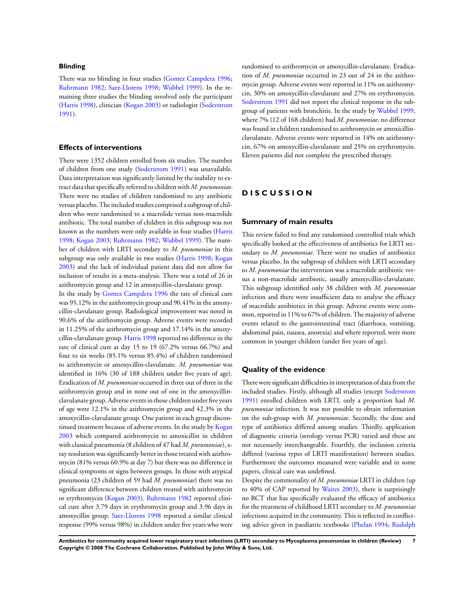#### **Blinding**

There was no blinding in four studies [\(Gomez Campdera 1996;](#page-9-0) [Ruhrmann 1982](#page-9-0); [Saez-Llorens 1998](#page-9-0); [Wubbel 1999\)](#page-9-0). In the remaining three studies the blinding involved only the participant [\(Harris 1998](#page-9-0)), clinician ([Kogan 2003\)](#page-9-0) or radiologist [\(Soderstrom](#page-9-0) [1991](#page-9-0)).

## **Effects of interventions**

There were 1352 children enrolled from six studies. The number of children from one study ([Soderstrom 1991\)](#page-9-0) was unavailable. Data interpretation was significantly limited by the inability to extract data that specifically referred to children with *M. pneumoniae*. There were no studies of children randomised to any antibiotic versus placebo. The included studies comprised a subgroup of children who were randomised to a macrolide versus non-macrolide antibiotic. The total number of children in this subgroup was not known as the numbers were only available in four studies [\(Harris](#page-9-0) [1998](#page-9-0); [Kogan 2003](#page-9-0); [Ruhrmann 1982](#page-9-0); [Wubbel 1999\)](#page-9-0). The number of children with LRTI secondary to *M. pneumoniae* in this subgroup was only available in two studies [\(Harris 1998;](#page-9-0) [Kogan](#page-9-0) [2003](#page-9-0)) and the lack of individual patient data did not allow for inclusion of results in a meta-analysis. There was a total of 26 in azithromycin group and 12 in amoxycillin-clavulanate group. In the study by [Gomez Campdera 1996](#page-9-0) the rate of clinical cure was 95.12% in the azithromycin group and 90.41% in the amoxycillin-clavulanate group. Radiological improvement was noted in 90.6% of the azithromycin group. Adverse events were recorded in 11.25% of the azithromycin group and 17.14% in the amoxycillin-clavulanate group. [Harris 1998](#page-9-0) reported no difference in the rate of clinical cure at day 15 to 19 (67.2% versus 66.7%) and four to six weeks (85.1% versus 85.4%) of children randomised to azithromycin or amoxycillin-clavulanate. *M. pneumoniae* was identified in 16% (30 of 188 children under five years of age). Eradication of *M. pneumoniae* occurred in three out of three in the azithromycin group and in none out of one in the amoxycillinclavulanate group. Adverse events in those children under five years of age were 12.1% in the azithromycin group and 42.3% in the amoxycillin-clavulanate group. One patient in each group discon-tinued treatment because of adverse events. In the study by [Kogan](#page-9-0) [2003](#page-9-0) which compared azithromycin to amoxicillin in children with classical pneumonia (8 children of 47 had *M. pneumoniae*), xray resolution was significantly better in those treated with azithromycin (81% versus 60.9% at day 7) but there was no difference in clinical symptoms or signs between groups. In those with atypical pneumonia (23 children of 59 had *M. pneumoniae*) there was no significant difference between children treated with azithromycin or erythromycin ([Kogan 2003\)](#page-9-0). [Ruhrmann 1982](#page-9-0) reported clinical cure after 3.79 days in erythromycin group and 3.96 days in amoxycillin group. [Saez-Llorens 1998](#page-9-0) reported a similar clinical response (99% versus 98%) in children under five years who were

randomised to azithromycin or amoxycillin-clavulanate. Eradication of *M. pneumoniae* occurred in 23 out of 24 in the azithromycin group. Adverse events were reported in 11% on azithromycin, 30% on amoxycillin-clavulanate and 27% on erythromycin. [Soderstrom 1991](#page-9-0) did not report the clinical response in the subgroup of patients with bronchitis. In the study by [Wubbel 1999,](#page-9-0) where 7% (12 of 168 children) had *M. pneumoniae*, no difference was found in children randomised to azithromycin or amoxicillinclavulanate. Adverse events were reported in 14% on azithromycin, 67% on amoxycillin-clavulanate and 25% on erythromycin. Eleven patients did not complete the prescribed therapy.

## **D I S C U S S I O N**

#### **Summary of main results**

This review failed to find any randomised controlled trials which specifically looked at the effectiveness of antibiotics for LRTI secondary to *M. pneumoniae*. There were no studies of antibiotics versus placebo. In the subgroup of children with LRTI secondary to *M. pneumoniae* the intervention was a macrolide antibiotic versus a non-macrolide antibiotic, usually amoxycillin-clavulanate. This subgroup identified only 38 children with *M. pneumoniae* infection and there were insufficient data to analyse the efficacy of macrolide antibiotics in this group. Adverse events were common, reported in 11% to 67% of children. The majority of adverse events related to the gastrointestinal tract (diarrhoea, vomiting, abdominal pain, nausea, anorexia) and where reported, were more common in younger children (under five years of age).

#### **Quality of the evidence**

There were significant difficulties in interpretation of data from the included studies. Firstly, although all studies (except [Soderstrom](#page-9-0) [1991](#page-9-0)) enrolled children with LRTI, only a proportion had *M. pneumoniae* infection. It was not possible to obtain information on the sub-group with *M. pneumoniae*. Secondly, the dose and type of antibiotics differed among studies. Thirdly, application of diagnostic criteria (serology versus PCR) varied and these are not necessarily interchangeable. Fourthly, the inclusion criteria differed (various types of LRTI manifestation) between studies. Furthermore the outcomes measured were variable and in some papers, clinical cure was undefined.

Despite the commonality of *M. pneumoniae* LRTI in children (up to 40% of CAP reported by [Waites 2003\)](#page-9-0), there is surprisingly no RCT that has specifically evaluated the efficacy of antibiotics for the treatment of childhood LRTI secondary to *M. pneumoniae* infections acquired in the community. This is reflected in conflicting advice given in paediatric textbooks [\(Phelan 1994;](#page-9-0) [Rudolph](#page-9-0)

**Antibiotics for community acquired lower respiratory tract infections (LRTI) secondary to Mycoplasma pneumoniae in children (Review) 7 Copyright © 2008 The Cochrane Collaboration. Published by John Wiley & Sons, Ltd.**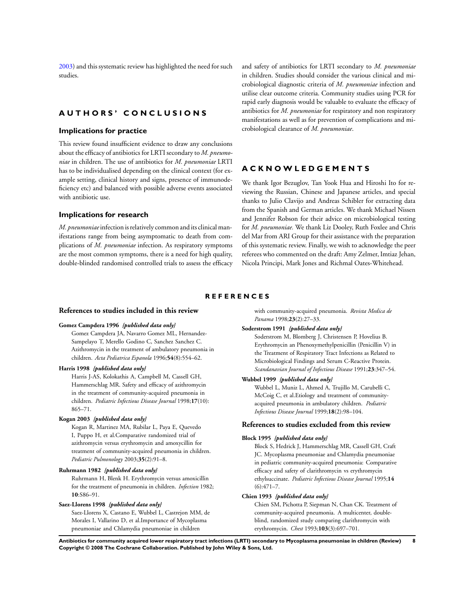<span id="page-9-0"></span>2003) and this systematic review has highlighted the need for such studies.

## **A U T H O R S ' C O N C L U S I O N S**

#### **Implications for practice**

This review found insufficient evidence to draw any conclusions about the efficacy of antibiotics for LRTI secondary to *M. pneumoniae* in children. The use of antibiotics for *M. pneumoniae* LRTI has to be individualised depending on the clinical context (for example setting, clinical history and signs, presence of immunodeficiency etc) and balanced with possible adverse events associated with antibiotic use.

#### **Implications for research**

*M. pneumoniae*infection is relatively common and its clinical manifestations range from being asymptomatic to death from complications of *M. pneumoniae* infection. As respiratory symptoms are the most common symptoms, there is a need for high quality, double-blinded randomised controlled trials to assess the efficacy and safety of antibiotics for LRTI secondary to *M. pneumoniae* in children. Studies should consider the various clinical and microbiological diagnostic criteria of *M. pneumoniae* infection and utilise clear outcome criteria. Community studies using PCR for rapid early diagnosis would be valuable to evaluate the efficacy of antibiotics for *M. pneumoniae* for respiratory and non respiratory manifestations as well as for prevention of complications and microbiological clearance of *M. pneumoniae*.

## **A C K N O W L E D G E M E N T S**

We thank Igor Bezuglov, Tan Yook Hua and Hiroshi Ito for reviewing the Russian, Chinese and Japanese articles, and special thanks to Julio Clavijo and Andreas Schibler for extracting data from the Spanish and German articles. We thank Michael Nissen and Jennifer Robson for their advice on microbiological testing for *M. pneumoniae.* We thank Liz Dooley, Ruth Foxlee and Chris del Mar from ARI Group for their assistance with the preparation of this systematic review. Finally, we wish to acknowledge the peer referees who commented on the draft: Amy Zelmer, Imtiaz Jehan, Nicola Principi, Mark Jones and Richmal Oates-Whitehead.

#### **R E F E R E N C E S**

#### **References to studies included in this review**

#### **Gomez Campdera 1996** *{published data only}*

Gomez Campdera JA, Navarro Gomez ML, Hernandez-Sampelayo T, Merello Godino C, Sanchez Sanchez C. Azithromycin in the treatment of ambulatory pneumonia in children. *Acta Pediatrica Espanola* 1996;**54**(8):554–62.

#### **Harris 1998** *{published data only}*

Harris J-AS, Kolokathis A, Campbell M, Cassell GH, Hammerschlag MR. Safety and efficacy of azithromycin in the treatment of community-acquired pneumonia in children. *Pediatric Infectious Disease Journal* 1998;**17**(10): 865–71.

#### **Kogan 2003** *{published data only}*

Kogan R, Martinez MA, Rubilar L, Paya E, Quevedo I, Puppo H, et al.Comparative randomized trial of azithromycin versus erythromycin and amoxycillin for treatment of community-acquired pneumonia in children. *Pediatric Pulmonology* 2003;**35**(2):91–8.

#### **Ruhrmann 1982** *{published data only}*

Ruhrmann H, Blenk H. Erythromycin versus amoxicillin for the treatment of pneumonia in children. *Infection* 1982; **10**:S86–91.

#### **Saez-Llorens 1998** *{published data only}*

Saez-Llorens X, Castano E, Wubbel L, Castrejon MM, de Morales I, Vallarino D, et al.Importance of Mycoplasma pneumoniae and Chlamydia pneumoniae in children

with community-acquired pneumonia. *Revista Medica de Panama* 1998;**23**(2):27–33.

#### **Soderstrom 1991** *{published data only}*

Soderstrom M, Blomberg J, Christensen P, Hovelius B. Erythromycin an Phenoxymethylpenicillin (Penicillin V) in the Treatment of Respiratory Tract Infections as Related to Microbiological Findings and Serum C-Reactive Protein. *Scandanavian Journal of Infectious Disease* 1991;**23**:347–54.

#### **Wubbel 1999** *{published data only}*

Wubbel L, Muniz L, Ahmed A, Trujillo M, Carubelli C, McCoig C, et al.Etiology and treatment of communityacquired pneumonia in ambulatory children. *Pediatric Infectious Disease Journal* 1999;**18**(2):98–104.

#### **References to studies excluded from this review**

#### **Block 1995** *{published data only}*

Block S, Hedrick J, Hammerschlag MR, Cassell GH, Craft JC. Mycoplasma pneumoniae and Chlamydia pneumoniae in pediatric community-acquired pneumonia: Comparative efficacy and safety of clarithromycin vs erythromycin ethylsuccinate. *Pediatric Infectious Disease Journal* 1995;**14**  $(6):471-7.$ 

#### **Chien 1993** *{published data only}*

Chien SM, Pichotta P, Siepman N, Chan CK. Treatment of community-acquired pneumonia. A multicenter, doubleblind, randomized study comparing clarithromycin with erythromycin. *Chest* 1993;**103**(3):697–701.

**Antibiotics for community acquired lower respiratory tract infections (LRTI) secondary to Mycoplasma pneumoniae in children (Review) 8 Copyright © 2008 The Cochrane Collaboration. Published by John Wiley & Sons, Ltd.**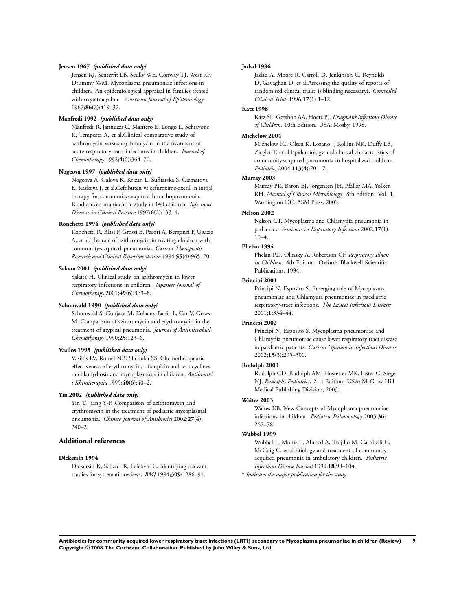#### **Jensen 1967** *{published data only}*

Jensen KJ, Senterfit LB, Scully WE, Conway TJ, West RF, Drummy WM. Mycoplasma pneumoniae infections in children. An epidemiological appraisal in families treated with oxytetracycline. *American Journal of Epidemiology* 1967;**86**(2):419–32.

#### **Manfredi 1992** *{published data only}*

Manfredi R, Jannuzzi C, Mantero E, Longo L, Schiavone R, Tempesta A, et al.Clinical comparative study of azithromycin versus erythromycin in the treatment of acute respiratory tract infections in children. *Journal of Chemotherapy* 1992;**4**(6):364–70.

#### **Nogeova 1997** *{published data only}*

Nogeova A, Galova K, Krizan L, Sufliarska S, Cizmarova E, Raskova J, et al.Ceftibuten vs cefuroxime-axetil in initial therapy for community-acquired bronchopneumonia: Randomized multicentric study in 140 children. *Infectious Diseases in Clinical Practice* 1997;**6**(2):133–4.

#### **Ronchetti 1994** *{published data only}*

Ronchetti R, Blasi F, Grossi E, Pecori A, Bergonzi F, Ugazio A, et al.The role of azithromycin in treating children with community-acquired pneumonia. *Current Therapeutic Research and Clinical Experimentation* 1994;**55**(4):965–70.

#### **Sakata 2001** *{published data only}*

Sakata H. Clinical study on azithromycin in lower respiratory infections in children. *Japanese Journal of Chemotherapy* 2001;**49**(6):363–8.

#### **Schonwald 1990** *{published data only}*

Schonwald S, Gunjaca M, Kolacny-Babic L, Car V, Gosev M. Comparison of azithromycin and erythromycin in the treatment of atypical pneumonia. *Journal of Antimicrobial Chemotherapy* 1990;**25**:123–6.

#### **Vasilos 1995** *{published data only}*

Vasilos LV, Rumel NB, Shchuka SS. Chemotherapeutic effectiveness of erythromycin, rifampicin and tetracyclines in chlamydiosis and mycoplasmosis in children. *Antibiotiki i Khimiterapiia* 1995;**40**(6):40–2.

#### **Yin 2002** *{published data only}*

Yin T, Jiang Y-F. Comparison of azithromycin and erythromycin in the treatment of pediatric mycoplasmal pneumonia. *Chinese Journal of Antibiotics* 2002;**27**(4):  $240-2$ 

#### **Additional references**

#### **Dickersin 1994**

Dickersin K, Scherer R, Lefebvre C. Identifying relevant studies for systematic reviews. *BMJ* 1994;**309**:1286–91.

#### **Jadad 1996**

Jadad A, Moore R, Carroll D, Jenkinson C, Reynolds D, Gavaghan D, et al.Assessing the quality of reports of randomised clinical trials: is blinding necessary?. *Controlled Clinical Trials* 1996;**17**(1):1–12.

#### **Katz 1998**

Katz SL, Gershon AA, Hoetz PJ. *Krugman's Infectious Disease of Children*. 10th Edition. USA: Mosby, 1998.

#### **Michelow 2004**

Michelow IC, Olsen K, Lozano J, Rollins NK, Duffy LB, Ziegler T, et al.Epidemiology and clinical characteristics of community-acquired pneumonia in hospitalized children. *Pediatrics* 2004;**113**(4):701–7.

#### **Murray 2003**

Murray PR, Baron EJ, Jorgensen JH, Pfaller MA, Yolken RH. *Manual of Clinical Microbiology*. 8th Edition. Vol. **1**, Washington DC: ASM Press, 2003.

#### **Nelson 2002**

Nelson CT. Mycoplasma and Chlamydia pneumonia in pediatrics. *Seminars in Respiratory Infections* 2002;**17**(1): 10–4.

#### **Phelan 1994**

Phelan PD, Olinsky A, Robertson CF. *Respiratory Illness in Children*. 4th Edition. Oxford: Blackwell Scientific Publications, 1994.

#### **Principi 2001**

Principi N, Esposito S. Emerging role of Mycoplasma pneumoniae and Chlamydia pneumoniae in paediatric respiratory-tract infections. *The Lancet Infectious Diseases* 2001;**1**:334–44.

#### **Principi 2002**

Principi N, Esposito S. Mycoplasma pneumoniae and Chlamydia pneumoniae cause lower respiratory tract disease in paediatric patients. *Current Opinion in Infectious Diseases* 2002;**15**(3):295–300.

#### **Rudolph 2003**

Rudolph CD, Rudolph AM, Hostetter MK, Lister G, Siegel NJ. *Rudolph's Pediatrics*. 21st Edition. USA: McGraw-Hill Medical Publishing Division, 2003.

#### **Waites 2003**

Waites KB. New Concepts of Mycoplasma pneumoniae infections in children. *Pediatric Pulmonology* 2003;**36**: 267–78.

#### **Wubbel 1999**

Wubbel L, Muniz L, Ahmed A, Trujillo M, Carubelli C, McCoig C, et al.Etiology and treatment of communityacquired pneumonia in ambulatory children. *Pediatric Infectious Disease Journal* 1999;**18**:98–104.

∗ *Indicates the major publication for the study*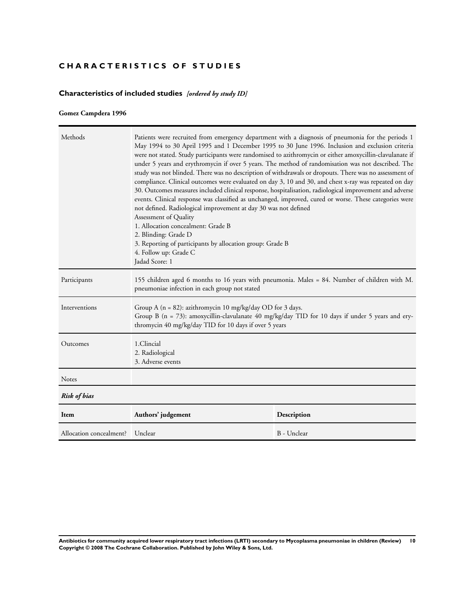## <span id="page-11-0"></span>**CHARACTERISTICS OF STUDIES**

## **Characteristics of included studies** *[ordered by study ID]*

## **Gomez Campdera 1996**

| Methods                 | Patients were recruited from emergency department with a diagnosis of pneumonia for the periods 1<br>May 1994 to 30 April 1995 and 1 December 1995 to 30 June 1996. Inclusion and exclusion criteria<br>were not stated. Study participants were randomised to azithromycin or either amoxycillin-clavulanate if<br>under 5 years and erythromycin if over 5 years. The method of randomisation was not described. The<br>study was not blinded. There was no description of withdrawals or dropouts. There was no assessment of<br>compliance. Clinical outcomes were evaluated on day 3, 10 and 30, and chest x-ray was repeated on day<br>30. Outcomes measures included clinical response, hospitalisation, radiological improvement and adverse<br>events. Clinical response was classified as unchanged, improved, cured or worse. These categories were<br>not defined. Radiological improvement at day 30 was not defined<br>Assessment of Quality<br>1. Allocation concealment: Grade B<br>2. Blinding: Grade D<br>3. Reporting of participants by allocation group: Grade B<br>4. Follow up: Grade C<br>Jadad Score: 1 |             |
|-------------------------|----------------------------------------------------------------------------------------------------------------------------------------------------------------------------------------------------------------------------------------------------------------------------------------------------------------------------------------------------------------------------------------------------------------------------------------------------------------------------------------------------------------------------------------------------------------------------------------------------------------------------------------------------------------------------------------------------------------------------------------------------------------------------------------------------------------------------------------------------------------------------------------------------------------------------------------------------------------------------------------------------------------------------------------------------------------------------------------------------------------------------------|-------------|
| Participants            | 155 children aged 6 months to 16 years with pneumonia. Males = 84. Number of children with M.<br>pneumoniae infection in each group not stated                                                                                                                                                                                                                                                                                                                                                                                                                                                                                                                                                                                                                                                                                                                                                                                                                                                                                                                                                                                   |             |
| Interventions           | Group A ( $n = 82$ ): azithromycin 10 mg/kg/day OD for 3 days.<br>Group B ( $n = 73$ ): amoxycillin-clavulanate 40 mg/kg/day TID for 10 days if under 5 years and ery-<br>thromycin 40 mg/kg/day TID for 10 days if over 5 years                                                                                                                                                                                                                                                                                                                                                                                                                                                                                                                                                                                                                                                                                                                                                                                                                                                                                                 |             |
| Outcomes                | 1.Clincial<br>2. Radiological<br>3. Adverse events                                                                                                                                                                                                                                                                                                                                                                                                                                                                                                                                                                                                                                                                                                                                                                                                                                                                                                                                                                                                                                                                               |             |
| Notes                   |                                                                                                                                                                                                                                                                                                                                                                                                                                                                                                                                                                                                                                                                                                                                                                                                                                                                                                                                                                                                                                                                                                                                  |             |
| <b>Risk of bias</b>     |                                                                                                                                                                                                                                                                                                                                                                                                                                                                                                                                                                                                                                                                                                                                                                                                                                                                                                                                                                                                                                                                                                                                  |             |
| Item                    | Authors' judgement                                                                                                                                                                                                                                                                                                                                                                                                                                                                                                                                                                                                                                                                                                                                                                                                                                                                                                                                                                                                                                                                                                               | Description |
| Allocation concealment? | Unclear                                                                                                                                                                                                                                                                                                                                                                                                                                                                                                                                                                                                                                                                                                                                                                                                                                                                                                                                                                                                                                                                                                                          | B - Unclear |

**Antibiotics for community acquired lower respiratory tract infections (LRTI) secondary to Mycoplasma pneumoniae in children (Review) 10 Copyright © 2008 The Cochrane Collaboration. Published by John Wiley & Sons, Ltd.**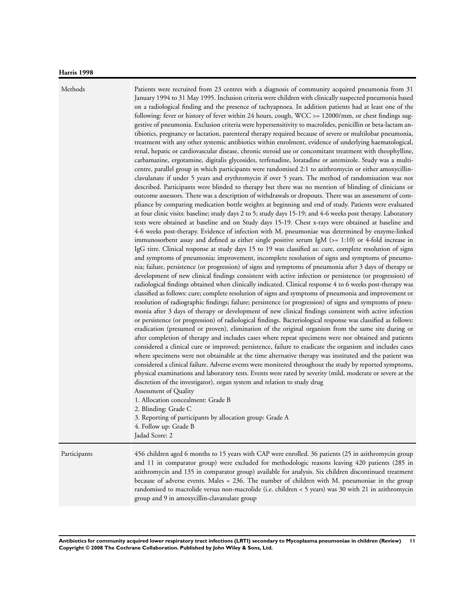#### **Harris 1998**

Methods Patients were recruited from 23 centres with a diagnosis of community acquired pneumonia from 31 January 1994 to 31 May 1995. Inclusion criteria were children with clinically suspected pneumonia based on a radiological finding and the presence of tachyapnoea. In addition patients had at least one of the following: fever or history of fever within 24 hours, cough, WCC >= 12000/mm, or chest findings suggestive of pneumonia. Exclusion criteria were hypersensitivity to macrolides, penicillin or beta-lactam antibiotics, pregnancy or lactation, parenteral therapy required because of severe or multilobar pneumonia, treatment with any other systemic antibiotics within enrolment, evidence of underlying haematological, renal, hepatic or cardiovascular disease, chronic steroid use or concomitant treatment with theophylline, carbamazine, ergotamine, digitalis glycosides, terfenadine, loratadine or astemizole. Study was a multicentre, parallel group in which participants were randomised 2:1 to azithromycin or either amoxycillinclavulanate if under 5 years and erythromycin if over 5 years. The method of randomisation was not described. Participants were blinded to therapy but there was no mention of blinding of clinicians or outcome assessors. There was a description of withdrawals or dropouts. There was an assessment of compliance by comparing medication bottle weights at beginning and end of study. Patients were evaluated at four clinic visits: baseline; study days 2 to 5; study days 15-19; and 4-6 weeks post therapy. Laboratory tests were obtained at baseline and on Study days 15-19. Chest x-rays were obtained at baseline and 4-6 weeks post-therapy. Evidence of infection with M. pneumoniae was determined by enzyme-linked immunosorbent assay and defined as either single positive serum IgM  $(>= 1:10)$  or 4-fold increase in IgG titre. Clinical response at study days 15 to 19 was classified as: cure, complete resolution of signs and symptoms of pneumonia; improvement, incomplete resolution of signs and symptoms of pneumonia; failure, persistence (or progression) of signs and symptoms of pneumonia after 3 days of therapy or development of new clinical findings consistent with active infection or persistence (or progression) of radiological findings obtained when clinically indicated. Clinical response 4 to 6 weeks post-therapy was classified as follows: cure; complete resolution of signs and symptoms of pneumonia and improvement or resolution of radiographic findings; failure; persistence (or progression) of signs and symptoms of pneumonia after 3 days of therapy or development of new clinical findings consistent with active infection or persistence (or progression) of radiological findings. Bacteriological response was classified as follows: eradication (presumed or proven), elimination of the original organism from the same site during or after completion of therapy and includes cases where repeat specimens were nor obtained and patients considered a clinical cure or improved; persistence, failure to eradicate the organism and includes cases where specimens were not obtainable at the time alternative therapy was instituted and the patient was considered a clinical failure. Adverse events were monitered throughout the study by reported symptoms, physical examinations and laboratory tests. Events were rated by severity (mild, moderate or severe at the discretion of the investigator), organ system and relation to study drug Assessment of Quality 1. Allocation concealment: Grade B 2. Blinding: Grade C 3. Reporting of participants by allocation group: Grade A 4. Follow up: Grade B Jadad Score: 2

Participants 456 children aged 6 months to 15 years with CAP were enrolled. 36 patients (25 in azithromycin group and 11 in comparator group) were excluded for methodologic reasons leaving 420 patients (285 in azithromycin and 135 in comparator group) available for analysis. Six children discontinued treatment because of adverse events. Males = 236. The number of children with M. pneumoniae in the group randomised to macrolide versus non-macrolide (i.e. children < 5 years) was 30 with 21 in azithromycin group and 9 in amoxycillin-clavanulate group

**Antibiotics for community acquired lower respiratory tract infections (LRTI) secondary to Mycoplasma pneumoniae in children (Review) 11 Copyright © 2008 The Cochrane Collaboration. Published by John Wiley & Sons, Ltd.**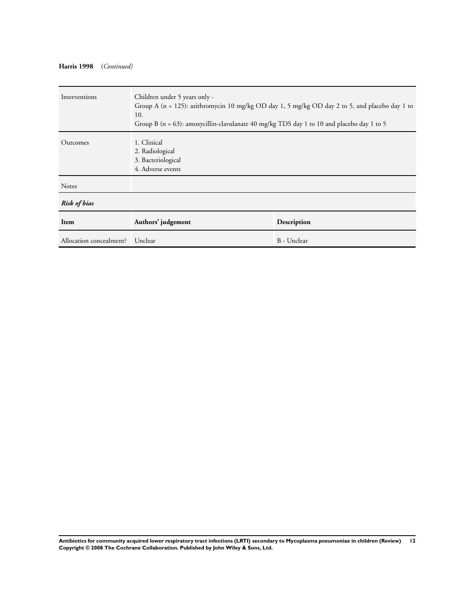## **Harris 1998** (*Continued)*

| Interventions           | Children under 5 years only -<br>Group A ( $n = 125$ ): azithromycin 10 mg/kg OD day 1, 5 mg/kg OD day 2 to 5, and placebo day 1 to<br>10.<br>Group B ( $n = 63$ ): amoxycillin-clavulanate 40 mg/kg TDS day 1 to 10 and placebo day 1 to 5 |             |
|-------------------------|---------------------------------------------------------------------------------------------------------------------------------------------------------------------------------------------------------------------------------------------|-------------|
| Outcomes                | 1. Clinical<br>2. Radiological<br>3. Bacteriological<br>4. Adverse events                                                                                                                                                                   |             |
| <b>Notes</b>            |                                                                                                                                                                                                                                             |             |
| <b>Risk of bias</b>     |                                                                                                                                                                                                                                             |             |
| Item                    | Authors' judgement                                                                                                                                                                                                                          | Description |
| Allocation concealment? | Unclear                                                                                                                                                                                                                                     | B - Unclear |

**Antibiotics for community acquired lower respiratory tract infections (LRTI) secondary to Mycoplasma pneumoniae in children (Review) 12 Copyright © 2008 The Cochrane Collaboration. Published by John Wiley & Sons, Ltd.**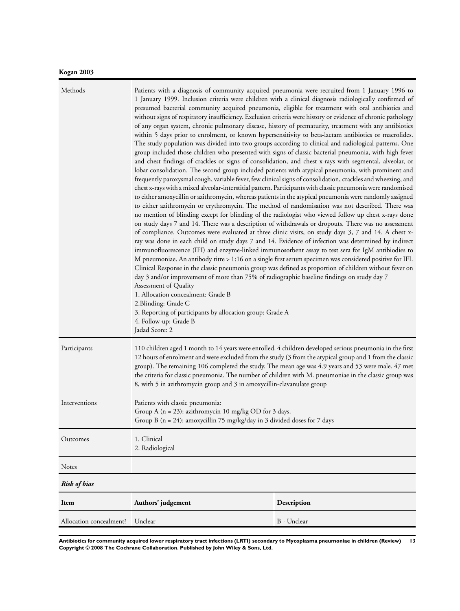## **Kogan 2003**

| Methods                 | within 5 days prior to enrolment, or known hypersensitivity to beta-lactam antibiotics or macrolides.<br>lobar consolidation. The second group included patients with atypical pneumonia, with prominent and<br>immunofluorescence (IFI) and enzyme-linked immunosorbent assay to test sera for IgM antibiodies to<br>M pneumoniae. An antibody titre > 1:16 on a single first serum specimen was considered positive for IFI.<br>day 3 and/or improvement of more than 75% of radiographic baseline findings on study day 7<br>Assessment of Quality<br>1. Allocation concealment: Grade B<br>2. Blinding: Grade C<br>3. Reporting of participants by allocation group: Grade A<br>4. Follow-up: Grade B<br>Jadad Score: 2 | Patients with a diagnosis of community acquired pneumonia were recruited from 1 January 1996 to<br>1 January 1999. Inclusion criteria were children with a clinical diagnosis radiologically confirmed of<br>presumed bacterial community acquired pneumonia, eligible for treatment with oral antibiotics and<br>without signs of respiratory insufficiency. Exclusion criteria were history or evidence of chronic pathology<br>of any organ system, chronic pulmonary disease, history of prematurity, treatment with any antibiotics<br>The study population was divided into two groups according to clinical and radiological patterns. One<br>group included those children who presented with signs of classic bacterial pneumonia, with high fever<br>and chest findings of crackles or signs of consolidation, and chest x-rays with segmental, alveolar, or<br>frequently paroxysmal cough, variable fever, few clinical signs of consolidation, crackles and wheezing, and<br>chest x-rays with a mixed alveolar-interstitial pattern. Participants with classic pneumonia were randomised<br>to either amoxycillin or azithromycin, whereas patients in the atypical pneumonia were randomly assigned<br>to either azithromycin or erythromycin. The method of randomisation was not described. There was<br>no mention of blinding except for blinding of the radiologist who viewed follow up chest x-rays done<br>on study days 7 and 14. There was a description of withdrawals or dropouts. There was no assessment<br>of compliance. Outcomes were evaluated at three clinic visits, on study days 3, 7 and 14. A chest x-<br>ray was done in each child on study days 7 and 14. Evidence of infection was determined by indirect<br>Clinical Response in the classic pneumonia group was defined as proportion of children without fever on |
|-------------------------|-----------------------------------------------------------------------------------------------------------------------------------------------------------------------------------------------------------------------------------------------------------------------------------------------------------------------------------------------------------------------------------------------------------------------------------------------------------------------------------------------------------------------------------------------------------------------------------------------------------------------------------------------------------------------------------------------------------------------------|-----------------------------------------------------------------------------------------------------------------------------------------------------------------------------------------------------------------------------------------------------------------------------------------------------------------------------------------------------------------------------------------------------------------------------------------------------------------------------------------------------------------------------------------------------------------------------------------------------------------------------------------------------------------------------------------------------------------------------------------------------------------------------------------------------------------------------------------------------------------------------------------------------------------------------------------------------------------------------------------------------------------------------------------------------------------------------------------------------------------------------------------------------------------------------------------------------------------------------------------------------------------------------------------------------------------------------------------------------------------------------------------------------------------------------------------------------------------------------------------------------------------------------------------------------------------------------------------------------------------------------------------------------------------------------------------------------------------------------------------------------------------------------------------------------------------------------------------------------------------|
| Participants            | 110 children aged 1 month to 14 years were enrolled. 4 children developed serious pneumonia in the first<br>12 hours of enrolment and were excluded from the study (3 from the atypical group and 1 from the classic<br>group). The remaining 106 completed the study. The mean age was 4.9 years and 53 were male. 47 met<br>the criteria for classic pneumonia. The number of children with M. pneumoniae in the classic group was<br>8, with 5 in azithromycin group and 3 in amoxycillin-clavanulate group                                                                                                                                                                                                              |                                                                                                                                                                                                                                                                                                                                                                                                                                                                                                                                                                                                                                                                                                                                                                                                                                                                                                                                                                                                                                                                                                                                                                                                                                                                                                                                                                                                                                                                                                                                                                                                                                                                                                                                                                                                                                                                 |
| Interventions           | Patients with classic pneumonia:<br>Group A ( $n = 23$ ): azithromycin 10 mg/kg OD for 3 days.<br>Group B ( $n = 24$ ): amoxycillin 75 mg/kg/day in 3 divided doses for 7 days                                                                                                                                                                                                                                                                                                                                                                                                                                                                                                                                              |                                                                                                                                                                                                                                                                                                                                                                                                                                                                                                                                                                                                                                                                                                                                                                                                                                                                                                                                                                                                                                                                                                                                                                                                                                                                                                                                                                                                                                                                                                                                                                                                                                                                                                                                                                                                                                                                 |
| Outcomes                | 1. Clinical<br>2. Radiological                                                                                                                                                                                                                                                                                                                                                                                                                                                                                                                                                                                                                                                                                              |                                                                                                                                                                                                                                                                                                                                                                                                                                                                                                                                                                                                                                                                                                                                                                                                                                                                                                                                                                                                                                                                                                                                                                                                                                                                                                                                                                                                                                                                                                                                                                                                                                                                                                                                                                                                                                                                 |
| Notes                   |                                                                                                                                                                                                                                                                                                                                                                                                                                                                                                                                                                                                                                                                                                                             |                                                                                                                                                                                                                                                                                                                                                                                                                                                                                                                                                                                                                                                                                                                                                                                                                                                                                                                                                                                                                                                                                                                                                                                                                                                                                                                                                                                                                                                                                                                                                                                                                                                                                                                                                                                                                                                                 |
| Risk of bias            |                                                                                                                                                                                                                                                                                                                                                                                                                                                                                                                                                                                                                                                                                                                             |                                                                                                                                                                                                                                                                                                                                                                                                                                                                                                                                                                                                                                                                                                                                                                                                                                                                                                                                                                                                                                                                                                                                                                                                                                                                                                                                                                                                                                                                                                                                                                                                                                                                                                                                                                                                                                                                 |
| Item                    | Authors' judgement                                                                                                                                                                                                                                                                                                                                                                                                                                                                                                                                                                                                                                                                                                          | Description                                                                                                                                                                                                                                                                                                                                                                                                                                                                                                                                                                                                                                                                                                                                                                                                                                                                                                                                                                                                                                                                                                                                                                                                                                                                                                                                                                                                                                                                                                                                                                                                                                                                                                                                                                                                                                                     |
| Allocation concealment? | Unclear                                                                                                                                                                                                                                                                                                                                                                                                                                                                                                                                                                                                                                                                                                                     | B - Unclear                                                                                                                                                                                                                                                                                                                                                                                                                                                                                                                                                                                                                                                                                                                                                                                                                                                                                                                                                                                                                                                                                                                                                                                                                                                                                                                                                                                                                                                                                                                                                                                                                                                                                                                                                                                                                                                     |

**Antibiotics for community acquired lower respiratory tract infections (LRTI) secondary to Mycoplasma pneumoniae in children (Review) 13 Copyright © 2008 The Cochrane Collaboration. Published by John Wiley & Sons, Ltd.**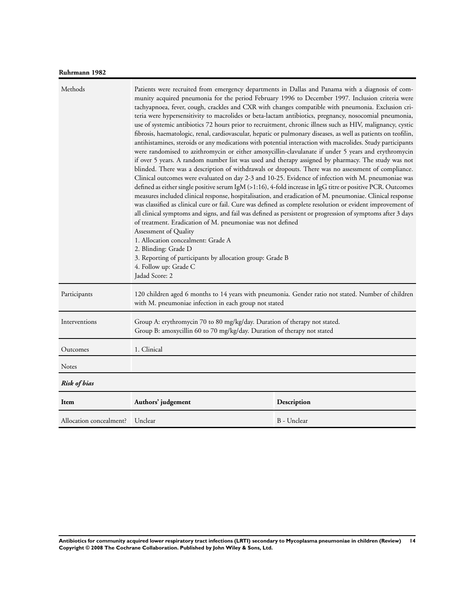## **Ruhrmann 1982**

|                         | Patients were recruited from emergency departments in Dallas and Panama with a diagnosis of com-<br>munity acquired pneumonia for the period February 1996 to December 1997. Inclusion criteria were<br>tachyapnoea, fever, cough, crackles and CXR with changes compatible with pneumonia. Exclusion cri-<br>teria were hypersensitivity to macrolides or beta-lactam antibiotics, pregnancy, nosocomial pneumonia,<br>use of systemic antibiotics 72 hours prior to recruitment, chronic illness such as HIV, malignancy, cystic<br>fibrosis, haematologic, renal, cardiovascular, hepatic or pulmonary diseases, as well as patients on teofilin,<br>antihistamines, steroids or any medications with potential interaction with macrolides. Study participants<br>were randomised to azithromycin or either amoxycillin-clavulanate if under 5 years and erythromycin<br>if over 5 years. A random number list was used and therapy assigned by pharmacy. The study was not<br>blinded. There was a description of withdrawals or dropouts. There was no assessment of compliance.<br>Clinical outcomes were evaluated on day 2-3 and 10-25. Evidence of infection with M. pneumoniae was<br>defined as either single positive serum IgM (>1:16), 4-fold increase in IgG titre or positive PCR. Outcomes<br>measures included clinical response, hospitalisation, and eradication of M. pneumoniae. Clinical response<br>was classified as clinical cure or fail. Cure was defined as complete resolution or evident improvement of<br>all clinical symptoms and signs, and fail was defined as persistent or progression of symptoms after 3 days<br>of treatment. Eradication of M. pneumoniae was not defined<br>Assessment of Quality<br>1. Allocation concealment: Grade A<br>2. Blinding: Grade D<br>3. Reporting of participants by allocation group: Grade B<br>4. Follow up: Grade C<br>Jadad Score: 2 |             |
|-------------------------|---------------------------------------------------------------------------------------------------------------------------------------------------------------------------------------------------------------------------------------------------------------------------------------------------------------------------------------------------------------------------------------------------------------------------------------------------------------------------------------------------------------------------------------------------------------------------------------------------------------------------------------------------------------------------------------------------------------------------------------------------------------------------------------------------------------------------------------------------------------------------------------------------------------------------------------------------------------------------------------------------------------------------------------------------------------------------------------------------------------------------------------------------------------------------------------------------------------------------------------------------------------------------------------------------------------------------------------------------------------------------------------------------------------------------------------------------------------------------------------------------------------------------------------------------------------------------------------------------------------------------------------------------------------------------------------------------------------------------------------------------------------------------------------------------------------------------------------------------------------------------------------------------------------------|-------------|
| Participants            | 120 children aged 6 months to 14 years with pneumonia. Gender ratio not stated. Number of children<br>with M. pneumoniae infection in each group not stated                                                                                                                                                                                                                                                                                                                                                                                                                                                                                                                                                                                                                                                                                                                                                                                                                                                                                                                                                                                                                                                                                                                                                                                                                                                                                                                                                                                                                                                                                                                                                                                                                                                                                                                                                         |             |
| Interventions           | Group A: erythromycin 70 to 80 mg/kg/day. Duration of therapy not stated.<br>Group B: amoxycillin 60 to 70 mg/kg/day. Duration of therapy not stated                                                                                                                                                                                                                                                                                                                                                                                                                                                                                                                                                                                                                                                                                                                                                                                                                                                                                                                                                                                                                                                                                                                                                                                                                                                                                                                                                                                                                                                                                                                                                                                                                                                                                                                                                                |             |
| Outcomes                | 1. Clinical                                                                                                                                                                                                                                                                                                                                                                                                                                                                                                                                                                                                                                                                                                                                                                                                                                                                                                                                                                                                                                                                                                                                                                                                                                                                                                                                                                                                                                                                                                                                                                                                                                                                                                                                                                                                                                                                                                         |             |
| Notes                   |                                                                                                                                                                                                                                                                                                                                                                                                                                                                                                                                                                                                                                                                                                                                                                                                                                                                                                                                                                                                                                                                                                                                                                                                                                                                                                                                                                                                                                                                                                                                                                                                                                                                                                                                                                                                                                                                                                                     |             |
| <b>Risk of bias</b>     |                                                                                                                                                                                                                                                                                                                                                                                                                                                                                                                                                                                                                                                                                                                                                                                                                                                                                                                                                                                                                                                                                                                                                                                                                                                                                                                                                                                                                                                                                                                                                                                                                                                                                                                                                                                                                                                                                                                     |             |
| Item                    | Authors' judgement                                                                                                                                                                                                                                                                                                                                                                                                                                                                                                                                                                                                                                                                                                                                                                                                                                                                                                                                                                                                                                                                                                                                                                                                                                                                                                                                                                                                                                                                                                                                                                                                                                                                                                                                                                                                                                                                                                  | Description |
| Allocation concealment? | Unclear                                                                                                                                                                                                                                                                                                                                                                                                                                                                                                                                                                                                                                                                                                                                                                                                                                                                                                                                                                                                                                                                                                                                                                                                                                                                                                                                                                                                                                                                                                                                                                                                                                                                                                                                                                                                                                                                                                             | B - Unclear |

**Antibiotics for community acquired lower respiratory tract infections (LRTI) secondary to Mycoplasma pneumoniae in children (Review) 14 Copyright © 2008 The Cochrane Collaboration. Published by John Wiley & Sons, Ltd.**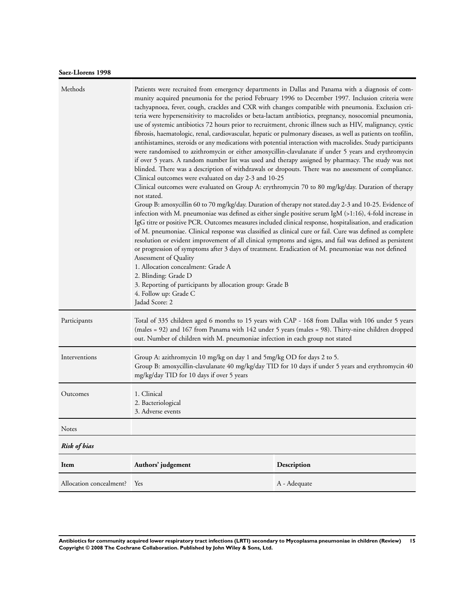## **Saez-Llorens 1998**

| Methods                 | Patients were recruited from emergency departments in Dallas and Panama with a diagnosis of com-<br>munity acquired pneumonia for the period February 1996 to December 1997. Inclusion criteria were<br>tachyapnoea, fever, cough, crackles and CXR with changes compatible with pneumonia. Exclusion cri-<br>teria were hypersensitivity to macrolides or beta-lactam antibiotics, pregnancy, nosocomial pneumonia,<br>use of systemic antibiotics 72 hours prior to recruitment, chronic illness such as HIV, malignancy, cystic<br>fibrosis, haematologic, renal, cardiovascular, hepatic or pulmonary diseases, as well as patients on teofilin,<br>antihistamines, steroids or any medications with potential interaction with macrolides. Study participants<br>were randomised to azithromycin or either amoxycillin-clavulanate if under 5 years and erythromycin<br>if over 5 years. A random number list was used and therapy assigned by pharmacy. The study was not<br>blinded. There was a description of withdrawals or dropouts. There was no assessment of compliance.<br>Clinical outcomes were evaluated on day 2-3 and 10-25<br>Clinical outcomes were evaluated on Group A: erythromycin 70 to 80 mg/kg/day. Duration of therapy<br>not stated.<br>Group B: amoxycillin 60 to 70 mg/kg/day. Duration of therapy not stated.day 2-3 and 10-25. Evidence of<br>infection with M. pneumoniae was defined as either single positive serum IgM (>1:16), 4-fold increase in<br>IgG titre or positive PCR. Outcomes measures included clinical response, hospitalisation, and eradication<br>of M. pneumoniae. Clinical response was classified as clinical cure or fail. Cure was defined as complete<br>resolution or evident improvement of all clinical symptoms and signs, and fail was defined as persistent<br>or progression of symptoms after 3 days of treatment. Eradication of M. pneumoniae was not defined<br>Assessment of Quality<br>1. Allocation concealment: Grade A<br>2. Blinding: Grade D<br>3. Reporting of participants by allocation group: Grade B<br>4. Follow up: Grade C<br>Jadad Score: 2 |              |
|-------------------------|--------------------------------------------------------------------------------------------------------------------------------------------------------------------------------------------------------------------------------------------------------------------------------------------------------------------------------------------------------------------------------------------------------------------------------------------------------------------------------------------------------------------------------------------------------------------------------------------------------------------------------------------------------------------------------------------------------------------------------------------------------------------------------------------------------------------------------------------------------------------------------------------------------------------------------------------------------------------------------------------------------------------------------------------------------------------------------------------------------------------------------------------------------------------------------------------------------------------------------------------------------------------------------------------------------------------------------------------------------------------------------------------------------------------------------------------------------------------------------------------------------------------------------------------------------------------------------------------------------------------------------------------------------------------------------------------------------------------------------------------------------------------------------------------------------------------------------------------------------------------------------------------------------------------------------------------------------------------------------------------------------------------------------------------------------------------------------------------------------------------------------------|--------------|
| Participants            | Total of 335 children aged 6 months to 15 years with CAP - 168 from Dallas with 106 under 5 years<br>(males = 92) and 167 from Panama with 142 under 5 years (males = 98). Thirty-nine children dropped<br>out. Number of children with M. pneumoniae infection in each group not stated                                                                                                                                                                                                                                                                                                                                                                                                                                                                                                                                                                                                                                                                                                                                                                                                                                                                                                                                                                                                                                                                                                                                                                                                                                                                                                                                                                                                                                                                                                                                                                                                                                                                                                                                                                                                                                             |              |
| Interventions           | Group A: azithromycin 10 mg/kg on day 1 and 5mg/kg OD for days 2 to 5.<br>Group B: amoxycillin-clavulanate 40 mg/kg/day TID for 10 days if under 5 years and erythromycin 40<br>mg/kg/day TID for 10 days if over 5 years                                                                                                                                                                                                                                                                                                                                                                                                                                                                                                                                                                                                                                                                                                                                                                                                                                                                                                                                                                                                                                                                                                                                                                                                                                                                                                                                                                                                                                                                                                                                                                                                                                                                                                                                                                                                                                                                                                            |              |
| Outcomes                | 1. Clinical<br>2. Bacteriological<br>3. Adverse events                                                                                                                                                                                                                                                                                                                                                                                                                                                                                                                                                                                                                                                                                                                                                                                                                                                                                                                                                                                                                                                                                                                                                                                                                                                                                                                                                                                                                                                                                                                                                                                                                                                                                                                                                                                                                                                                                                                                                                                                                                                                               |              |
| Notes                   |                                                                                                                                                                                                                                                                                                                                                                                                                                                                                                                                                                                                                                                                                                                                                                                                                                                                                                                                                                                                                                                                                                                                                                                                                                                                                                                                                                                                                                                                                                                                                                                                                                                                                                                                                                                                                                                                                                                                                                                                                                                                                                                                      |              |
| <b>Risk of bias</b>     |                                                                                                                                                                                                                                                                                                                                                                                                                                                                                                                                                                                                                                                                                                                                                                                                                                                                                                                                                                                                                                                                                                                                                                                                                                                                                                                                                                                                                                                                                                                                                                                                                                                                                                                                                                                                                                                                                                                                                                                                                                                                                                                                      |              |
| Item                    | Authors' judgement                                                                                                                                                                                                                                                                                                                                                                                                                                                                                                                                                                                                                                                                                                                                                                                                                                                                                                                                                                                                                                                                                                                                                                                                                                                                                                                                                                                                                                                                                                                                                                                                                                                                                                                                                                                                                                                                                                                                                                                                                                                                                                                   | Description  |
| Allocation concealment? | Yes                                                                                                                                                                                                                                                                                                                                                                                                                                                                                                                                                                                                                                                                                                                                                                                                                                                                                                                                                                                                                                                                                                                                                                                                                                                                                                                                                                                                                                                                                                                                                                                                                                                                                                                                                                                                                                                                                                                                                                                                                                                                                                                                  | A - Adequate |

**Antibiotics for community acquired lower respiratory tract infections (LRTI) secondary to Mycoplasma pneumoniae in children (Review) 15 Copyright © 2008 The Cochrane Collaboration. Published by John Wiley & Sons, Ltd.**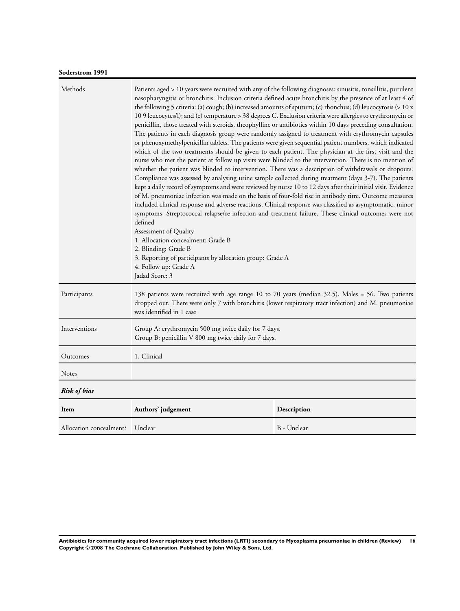## **Soderstrom 1991**

| Methods                 | Patients aged > 10 years were recruited with any of the following diagnoses: sinusitis, tonsillitis, purulent<br>nasopharyngitis or bronchitis. Inclusion criteria defined acute bronchitis by the presence of at least 4 of<br>the following 5 criteria: (a) cough; (b) increased amounts of sputum; (c) rhonchus; (d) leucocytosis (> 10 x<br>10 9 leucocytes/l); and (e) temperature > 38 degrees C. Exclusion criteria were allergies to erythromycin or<br>penicillin, those treated with steroids, theophylline or antibiotics within 10 days preceding consultation.<br>The patients in each diagnosis group were randomly assigned to treatment with erythromycin capsules<br>or phenoxymethylpenicillin tablets. The patients were given sequential patient numbers, which indicated<br>which of the two treatments should be given to each patient. The physician at the first visit and the<br>nurse who met the patient at follow up visits were blinded to the intervention. There is no mention of<br>whether the patient was blinded to intervention. There was a description of withdrawals or dropouts.<br>Compliance was assessed by analysing urine sample collected during treatment (days 3-7). The patients<br>kept a daily record of symptoms and were reviewed by nurse 10 to 12 days after their initial visit. Evidence<br>of M. pneumoniae infection was made on the basis of four-fold rise in antibody titre. Outcome measures<br>included clinical response and adverse reactions. Clinical response was classified as asymptomatic, minor<br>symptoms, Streptococcal relapse/re-infection and treatment failure. These clinical outcomes were not<br>defined<br>Assessment of Quality<br>1. Allocation concealment: Grade B<br>2. Blinding: Grade B<br>3. Reporting of participants by allocation group: Grade A<br>4. Follow up: Grade A<br>Jadad Score: 3 |             |  |
|-------------------------|--------------------------------------------------------------------------------------------------------------------------------------------------------------------------------------------------------------------------------------------------------------------------------------------------------------------------------------------------------------------------------------------------------------------------------------------------------------------------------------------------------------------------------------------------------------------------------------------------------------------------------------------------------------------------------------------------------------------------------------------------------------------------------------------------------------------------------------------------------------------------------------------------------------------------------------------------------------------------------------------------------------------------------------------------------------------------------------------------------------------------------------------------------------------------------------------------------------------------------------------------------------------------------------------------------------------------------------------------------------------------------------------------------------------------------------------------------------------------------------------------------------------------------------------------------------------------------------------------------------------------------------------------------------------------------------------------------------------------------------------------------------------------------------------------------------------------------------------------------------------------------------------|-------------|--|
| Participants            | 138 patients were recruited with age range 10 to 70 years (median 32.5). Males = 56. Two patients<br>dropped out. There were only 7 with bronchitis (lower respiratory tract infection) and M. pneumoniae<br>was identified in 1 case                                                                                                                                                                                                                                                                                                                                                                                                                                                                                                                                                                                                                                                                                                                                                                                                                                                                                                                                                                                                                                                                                                                                                                                                                                                                                                                                                                                                                                                                                                                                                                                                                                                      |             |  |
| Interventions           | Group A: erythromycin 500 mg twice daily for 7 days.<br>Group B: penicillin V 800 mg twice daily for 7 days.                                                                                                                                                                                                                                                                                                                                                                                                                                                                                                                                                                                                                                                                                                                                                                                                                                                                                                                                                                                                                                                                                                                                                                                                                                                                                                                                                                                                                                                                                                                                                                                                                                                                                                                                                                               |             |  |
| Outcomes                | 1. Clinical                                                                                                                                                                                                                                                                                                                                                                                                                                                                                                                                                                                                                                                                                                                                                                                                                                                                                                                                                                                                                                                                                                                                                                                                                                                                                                                                                                                                                                                                                                                                                                                                                                                                                                                                                                                                                                                                                |             |  |
| Notes                   |                                                                                                                                                                                                                                                                                                                                                                                                                                                                                                                                                                                                                                                                                                                                                                                                                                                                                                                                                                                                                                                                                                                                                                                                                                                                                                                                                                                                                                                                                                                                                                                                                                                                                                                                                                                                                                                                                            |             |  |
| <b>Risk of bias</b>     |                                                                                                                                                                                                                                                                                                                                                                                                                                                                                                                                                                                                                                                                                                                                                                                                                                                                                                                                                                                                                                                                                                                                                                                                                                                                                                                                                                                                                                                                                                                                                                                                                                                                                                                                                                                                                                                                                            |             |  |
| Item                    | Authors' judgement                                                                                                                                                                                                                                                                                                                                                                                                                                                                                                                                                                                                                                                                                                                                                                                                                                                                                                                                                                                                                                                                                                                                                                                                                                                                                                                                                                                                                                                                                                                                                                                                                                                                                                                                                                                                                                                                         | Description |  |
| Allocation concealment? | Unclear                                                                                                                                                                                                                                                                                                                                                                                                                                                                                                                                                                                                                                                                                                                                                                                                                                                                                                                                                                                                                                                                                                                                                                                                                                                                                                                                                                                                                                                                                                                                                                                                                                                                                                                                                                                                                                                                                    | B - Unclear |  |

**Antibiotics for community acquired lower respiratory tract infections (LRTI) secondary to Mycoplasma pneumoniae in children (Review) 16 Copyright © 2008 The Cochrane Collaboration. Published by John Wiley & Sons, Ltd.**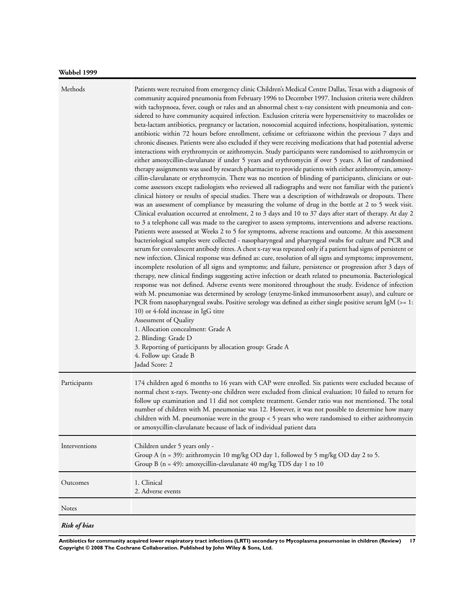| Methods             | Patients were recruited from emergency clinic Children's Medical Centre Dallas, Texas with a diagnosis of<br>community acquired pneumonia from February 1996 to December 1997. Inclusion criteria were children<br>with tachypnoea, fever, cough or rales and an abnormal chest x-ray consistent with pneumonia and con-<br>sidered to have community acquired infection. Exclusion criteria were hypersensitivity to macrolides or<br>beta-lactam antibiotics, pregnancy or lactation, nosocomial acquired infections, hospitalisation, systemic<br>antibiotic within 72 hours before enrollment, cefixime or ceftriaxone within the previous 7 days and<br>chronic diseases. Patients were also excluded if they were receiving medications that had potential adverse<br>interactions with erythromycin or azithromycin. Study participants were randomised to azithromycin or<br>either amoxycillin-clavulanate if under 5 years and erythromycin if over 5 years. A list of randomised<br>therapy assignments was used by research pharmacist to provide patients with either azithromycin, amoxy-<br>cillin-clavulanate or erythromycin. There was no mention of blinding of participants, clinicians or out-<br>come assessors except radiologists who reviewed all radiographs and were not familiar with the patient's<br>clinical history or results of special studies. There was a description of withdrawals or dropouts. There<br>was an assessment of compliance by measuring the volume of drug in the bottle at 2 to 5 week visit.<br>Clinical evaluation occurred at enrolment, 2 to 3 days and 10 to 37 days after start of therapy. At day 2<br>to 3 a telephone call was made to the caregiver to assess symptoms, interventions and adverse reactions.<br>Patients were assessed at Weeks 2 to 5 for symptoms, adverse reactions and outcome. At this assessment<br>bacteriological samples were collected - nasopharyngeal and pharyngeal swabs for culture and PCR and<br>serum for convalescent antibody titres. A chest x-ray was repeated only if a patient had signs of persistent or<br>new infection. Clinical response was defined as: cure, resolution of all signs and symptoms; improvement,<br>incomplete resolution of all signs and symptoms; and failure, persistence or progression after 3 days of<br>therapy, new clinical findings suggesting active infection or death related to pneumonia. Bacteriological<br>response was not defined. Adverse events were monitored throughout the study. Evidence of infection<br>with M. pneumoniae was determined by serology (enzyme-linked immunosorbent assay), and culture or<br>PCR from nasopharyngeal swabs. Positive serology was defined as either single positive serum IgM (>= 1:<br>10) or 4-fold increase in IgG titre<br>Assessment of Quality<br>1. Allocation concealment: Grade A<br>2. Blinding: Grade D<br>3. Reporting of participants by allocation group: Grade A<br>4. Follow up: Grade B<br>Jadad Score: 2 |
|---------------------|----------------------------------------------------------------------------------------------------------------------------------------------------------------------------------------------------------------------------------------------------------------------------------------------------------------------------------------------------------------------------------------------------------------------------------------------------------------------------------------------------------------------------------------------------------------------------------------------------------------------------------------------------------------------------------------------------------------------------------------------------------------------------------------------------------------------------------------------------------------------------------------------------------------------------------------------------------------------------------------------------------------------------------------------------------------------------------------------------------------------------------------------------------------------------------------------------------------------------------------------------------------------------------------------------------------------------------------------------------------------------------------------------------------------------------------------------------------------------------------------------------------------------------------------------------------------------------------------------------------------------------------------------------------------------------------------------------------------------------------------------------------------------------------------------------------------------------------------------------------------------------------------------------------------------------------------------------------------------------------------------------------------------------------------------------------------------------------------------------------------------------------------------------------------------------------------------------------------------------------------------------------------------------------------------------------------------------------------------------------------------------------------------------------------------------------------------------------------------------------------------------------------------------------------------------------------------------------------------------------------------------------------------------------------------------------------------------------------------------------------------------------------------------------------------------------------------------------------------------------------------------------------------------------------------------------------------------------------------------------------------------------------|
| Participants        | 174 children aged 6 months to 16 years with CAP were enrolled. Six patients were excluded because of<br>normal chest x-rays. Twenty-one children were excluded from clinical evaluation; 10 failed to return for<br>follow up examination and 11 did not complete treatment. Gender ratio was not mentioned. The total<br>number of children with M. pneumoniae was 12. However, it was not possible to determine how many<br>children with M. pneumoniae were in the group < 5 years who were randomised to either azithromycin<br>or amoxycillin-clavulanate because of lack of individual patient data                                                                                                                                                                                                                                                                                                                                                                                                                                                                                                                                                                                                                                                                                                                                                                                                                                                                                                                                                                                                                                                                                                                                                                                                                                                                                                                                                                                                                                                                                                                                                                                                                                                                                                                                                                                                                                                                                                                                                                                                                                                                                                                                                                                                                                                                                                                                                                                                            |
| Interventions       | Children under 5 years only -<br>Group A (n = 39): azithromycin 10 mg/kg OD day 1, followed by 5 mg/kg OD day 2 to 5.<br>Group B ( $n = 49$ ): amoxycillin-clavulanate 40 mg/kg TDS day 1 to 10                                                                                                                                                                                                                                                                                                                                                                                                                                                                                                                                                                                                                                                                                                                                                                                                                                                                                                                                                                                                                                                                                                                                                                                                                                                                                                                                                                                                                                                                                                                                                                                                                                                                                                                                                                                                                                                                                                                                                                                                                                                                                                                                                                                                                                                                                                                                                                                                                                                                                                                                                                                                                                                                                                                                                                                                                      |
| Outcomes            | 1. Clinical<br>2. Adverse events                                                                                                                                                                                                                                                                                                                                                                                                                                                                                                                                                                                                                                                                                                                                                                                                                                                                                                                                                                                                                                                                                                                                                                                                                                                                                                                                                                                                                                                                                                                                                                                                                                                                                                                                                                                                                                                                                                                                                                                                                                                                                                                                                                                                                                                                                                                                                                                                                                                                                                                                                                                                                                                                                                                                                                                                                                                                                                                                                                                     |
| Notes               |                                                                                                                                                                                                                                                                                                                                                                                                                                                                                                                                                                                                                                                                                                                                                                                                                                                                                                                                                                                                                                                                                                                                                                                                                                                                                                                                                                                                                                                                                                                                                                                                                                                                                                                                                                                                                                                                                                                                                                                                                                                                                                                                                                                                                                                                                                                                                                                                                                                                                                                                                                                                                                                                                                                                                                                                                                                                                                                                                                                                                      |
| <b>Risk of bias</b> |                                                                                                                                                                                                                                                                                                                                                                                                                                                                                                                                                                                                                                                                                                                                                                                                                                                                                                                                                                                                                                                                                                                                                                                                                                                                                                                                                                                                                                                                                                                                                                                                                                                                                                                                                                                                                                                                                                                                                                                                                                                                                                                                                                                                                                                                                                                                                                                                                                                                                                                                                                                                                                                                                                                                                                                                                                                                                                                                                                                                                      |

**Antibiotics for community acquired lower respiratory tract infections (LRTI) secondary to Mycoplasma pneumoniae in children (Review) 17 Copyright © 2008 The Cochrane Collaboration. Published by John Wiley & Sons, Ltd.**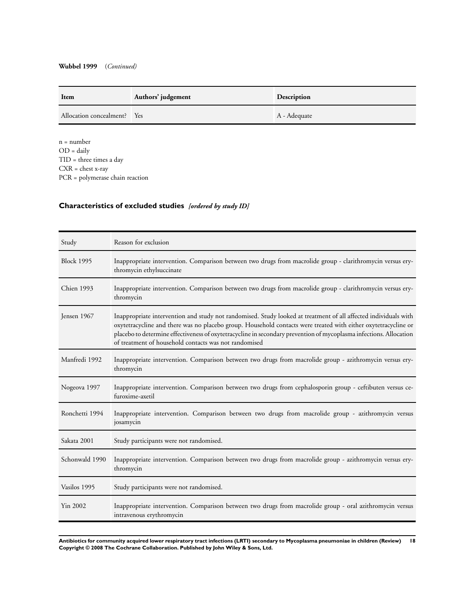<span id="page-19-0"></span>

| Item                        | Authors' judgement | Description  |
|-----------------------------|--------------------|--------------|
| Allocation concealment? Yes |                    | A - Adequate |

n = number  $OD = daily$ TID = three times a day CXR = chest x-ray PCR = polymerase chain reaction

## **Characteristics of excluded studies** *[ordered by study ID]*

| Study             | Reason for exclusion                                                                                                                                                                                                                                                                                                                                                                                             |
|-------------------|------------------------------------------------------------------------------------------------------------------------------------------------------------------------------------------------------------------------------------------------------------------------------------------------------------------------------------------------------------------------------------------------------------------|
| <b>Block 1995</b> | Inappropriate intervention. Comparison between two drugs from macrolide group - clarithromycin versus ery-<br>thromycin ethylsuccinate                                                                                                                                                                                                                                                                           |
| Chien 1993        | Inappropriate intervention. Comparison between two drugs from macrolide group - clarithromycin versus ery-<br>thromycin                                                                                                                                                                                                                                                                                          |
| Jensen 1967       | Inappropriate intervention and study not randomised. Study looked at treatment of all affected individuals with<br>oxytetracycline and there was no placebo group. Household contacts were treated with either oxytetracycline or<br>placebo to determine effectiveness of oxytetracycline in secondary prevention of mycoplasma infections. Allocation<br>of treatment of household contacts was not randomised |
| Manfredi 1992     | Inappropriate intervention. Comparison between two drugs from macrolide group - azithromycin versus ery-<br>thromycin                                                                                                                                                                                                                                                                                            |
| Nogeova 1997      | Inappropriate intervention. Comparison between two drugs from cephalosporin group - ceftibuten versus ce-<br>furoxime-axetil                                                                                                                                                                                                                                                                                     |
| Ronchetti 1994    | Inappropriate intervention. Comparison between two drugs from macrolide group - azithromycin versus<br>josamycin                                                                                                                                                                                                                                                                                                 |
| Sakata 2001       | Study participants were not randomised.                                                                                                                                                                                                                                                                                                                                                                          |
| Schonwald 1990    | Inappropriate intervention. Comparison between two drugs from macrolide group - azithromycin versus ery-<br>thromycin                                                                                                                                                                                                                                                                                            |
| Vasilos 1995      | Study participants were not randomised.                                                                                                                                                                                                                                                                                                                                                                          |
| Yin 2002          | Inappropriate intervention. Comparison between two drugs from macrolide group - oral azithromycin versus<br>intravenous erythromycin                                                                                                                                                                                                                                                                             |

**Antibiotics for community acquired lower respiratory tract infections (LRTI) secondary to Mycoplasma pneumoniae in children (Review) 18 Copyright © 2008 The Cochrane Collaboration. Published by John Wiley & Sons, Ltd.**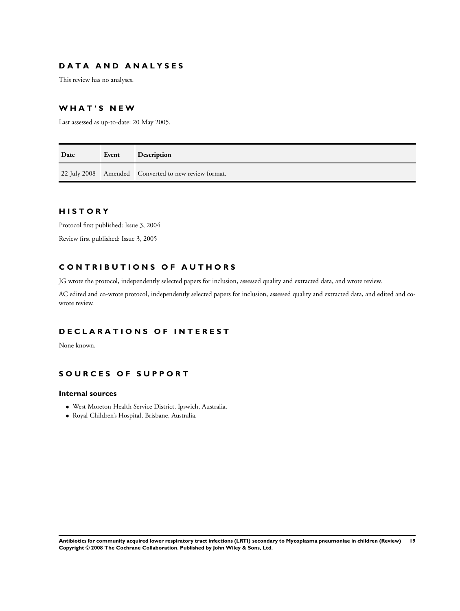## **D A T A A N D A N A L Y S E S**

This review has no analyses.

### **W H A T ' S N E W**

Last assessed as up-to-date: 20 May 2005.

| Date | Event | <b>Description</b>                                   |
|------|-------|------------------------------------------------------|
|      |       | 22 July 2008 Amended Converted to new review format. |

## **H I S T O R Y**

Protocol first published: Issue 3, 2004

Review first published: Issue 3, 2005

## **C O N T R I B U T I O N S O F A U T H O R S**

JG wrote the protocol, independently selected papers for inclusion, assessed quality and extracted data, and wrote review.

AC edited and co-wrote protocol, independently selected papers for inclusion, assessed quality and extracted data, and edited and cowrote review.

## **D E C L A R A T I O N S O F I N T E R E S T**

None known.

## **S O U R C E S O F S U P P O R T**

### **Internal sources**

- West Moreton Health Service District, Ipswich, Australia.
- Royal Children's Hospital, Brisbane, Australia.